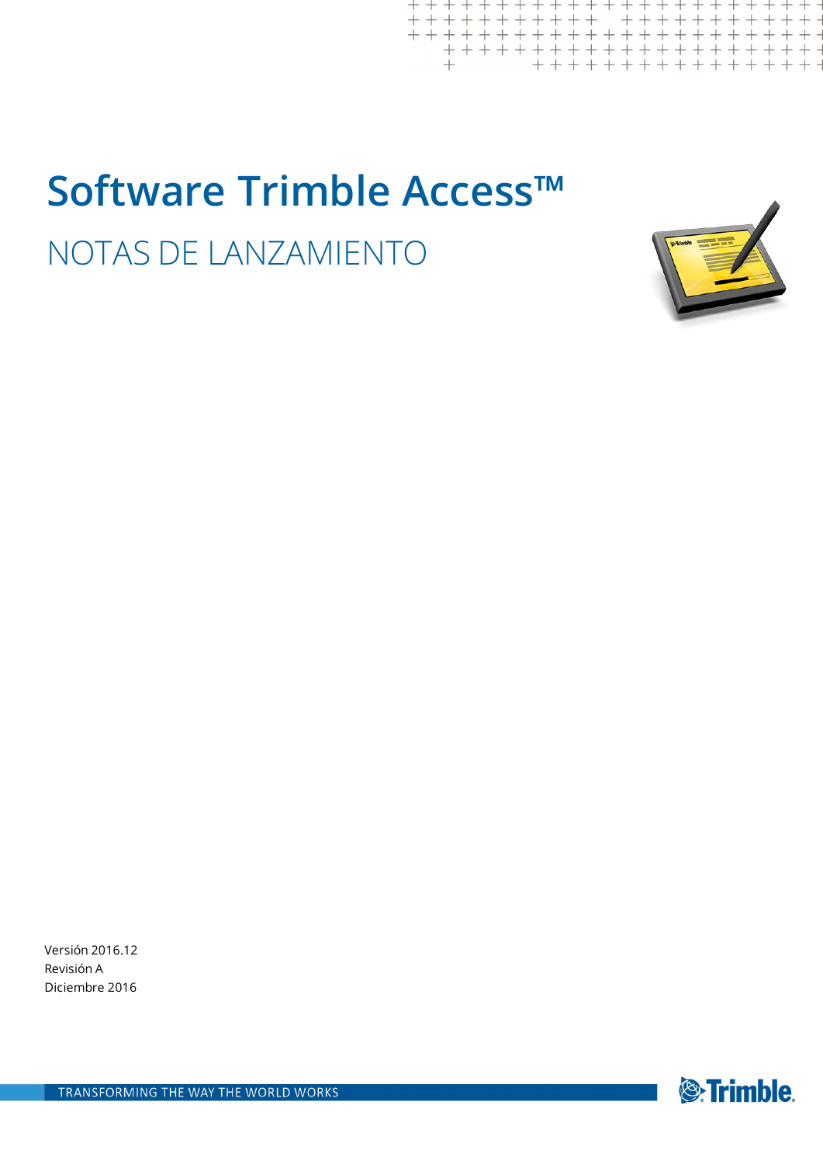# **Software Trimble Access™** NOTAS DE LANZAMIENTO

 $+ +$ <br>+ + +



 $+++$ 

 $\begin{array}{l} +\,+\,+\,+\,+\,\\ +\,+\,+\,+\,+\,+\,+\\ +\,+\,+\,+\,+\,+\,+ \end{array}$ 

Versión 2016.12 Revisión A Diciembre 2016

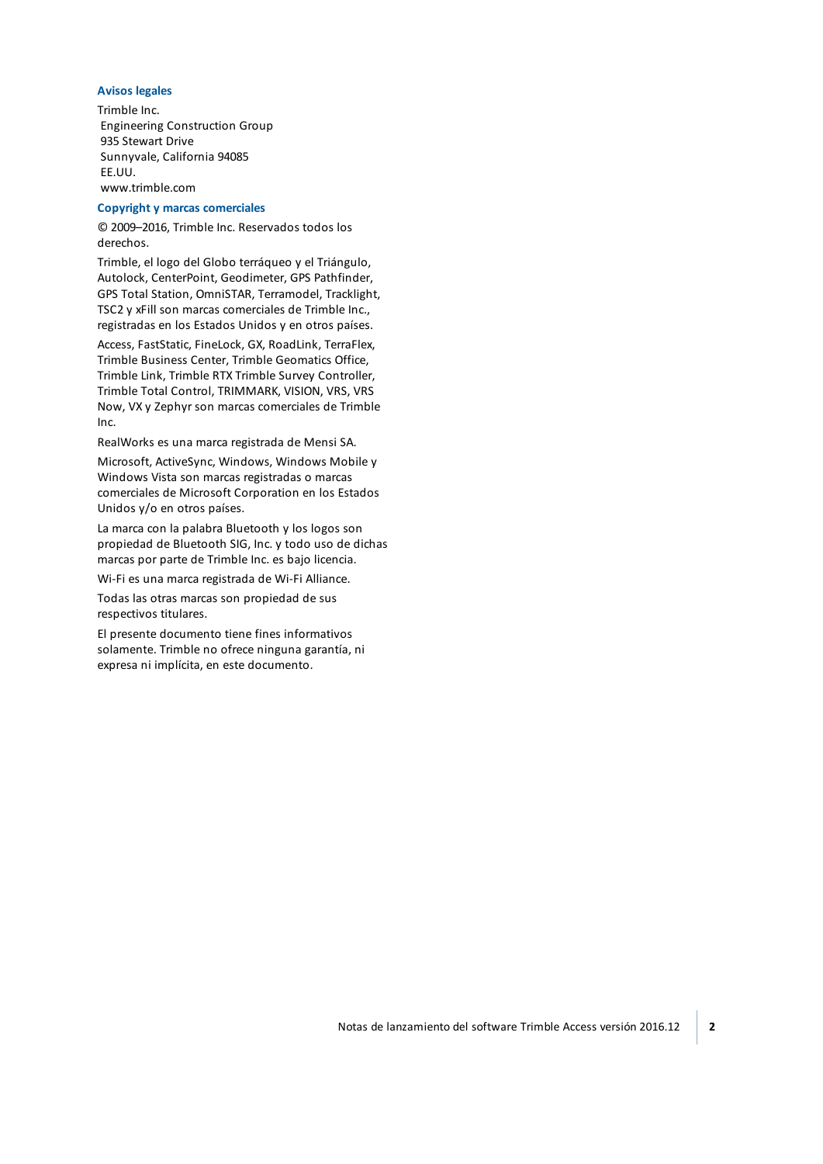#### **Avisos legales**

Trimble Inc. Engineering Construction Group 935 Stewart Drive Sunnyvale, California 94085 EE.UU. www.trimble.com

#### **Copyright y marcas comerciales**

© 2009–2016, Trimble Inc. Reservados todos los derechos.

Trimble, el logo del Globo terráqueo y el Triángulo, Autolock, CenterPoint, Geodimeter, GPS Pathfinder, GPS Total Station, OmniSTAR, Terramodel, Tracklight, TSC2 y xFill son marcas comerciales de Trimble Inc., registradas en los Estados Unidos y en otros países.

Access, FastStatic, FineLock, GX, RoadLink, TerraFlex, Trimble Business Center, Trimble Geomatics Office, Trimble Link, Trimble RTX Trimble Survey Controller, Trimble Total Control, TRIMMARK, VISION, VRS, VRS Now, VX y Zephyr son marcas comerciales de Trimble Inc.

RealWorks es una marca registrada de Mensi SA.

Microsoft, ActiveSync, Windows, Windows Mobile y Windows Vista son marcas registradas o marcas comerciales de Microsoft Corporation en los Estados Unidos y/o en otros países.

La marca con la palabra Bluetooth y los logos son propiedad de Bluetooth SIG, Inc. y todo uso de dichas marcas por parte de Trimble Inc. es bajo licencia.

Wi-Fi es una marca registrada de Wi-Fi Alliance.

Todas las otras marcas son propiedad de sus respectivos titulares.

El presente documento tiene fines informativos solamente. Trimble no ofrece ninguna garantía, ni expresa ni implícita, en este documento.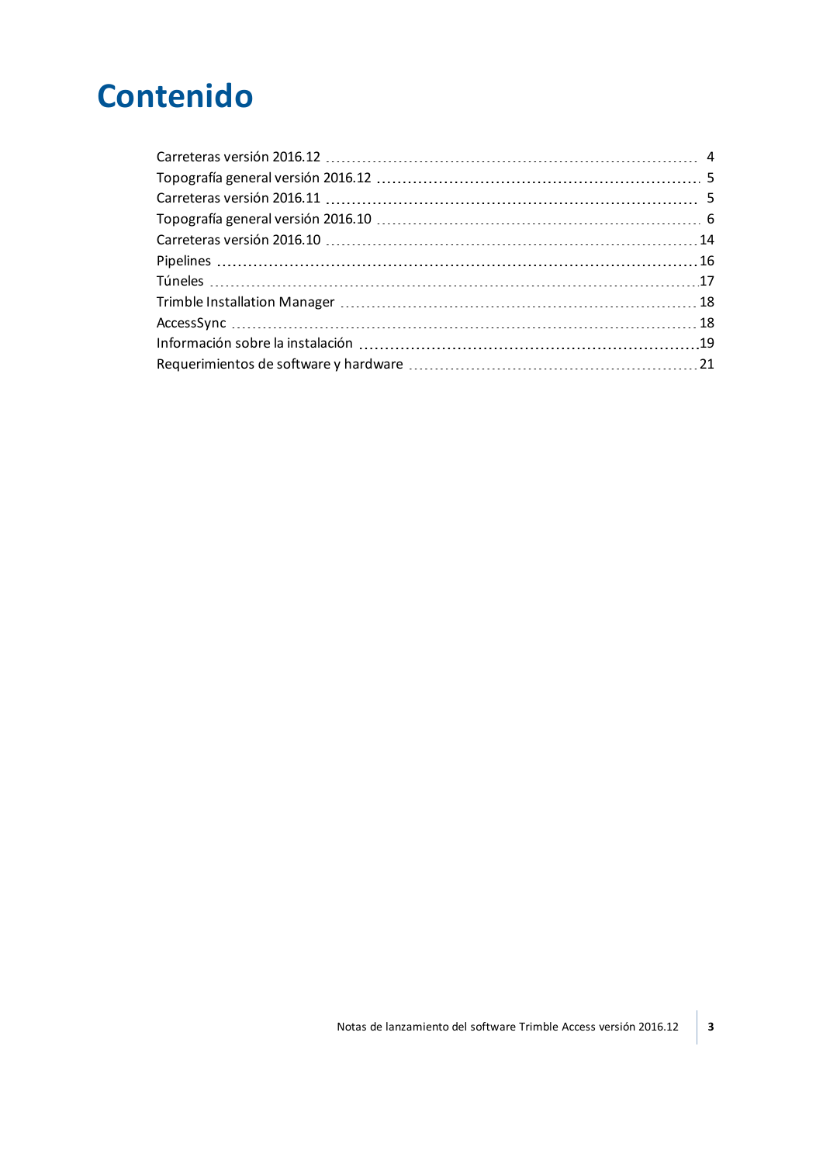## **Contenido**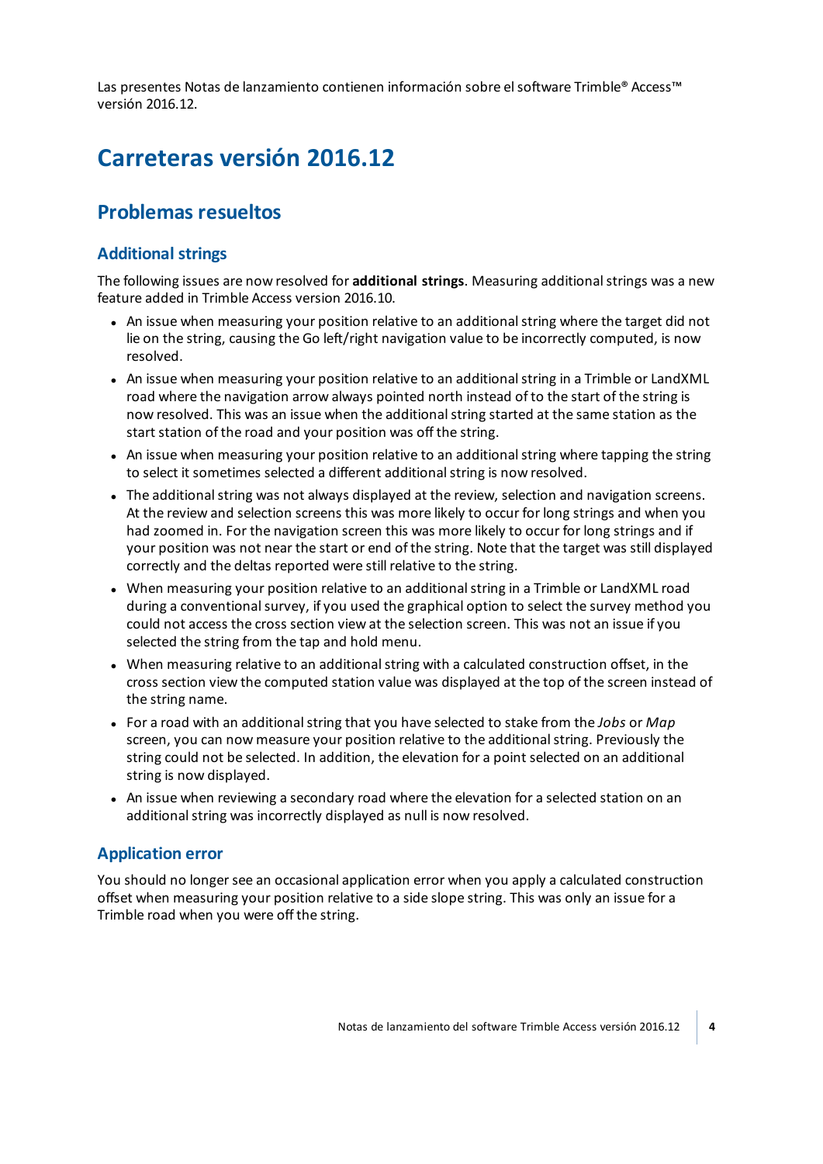<span id="page-3-0"></span>Las presentes Notas de lanzamiento contienen información sobre el software Trimble® Access™ versión 2016.12.

## **Carreteras versión 2016.12**

## **Problemas resueltos**

## **Additional strings**

The following issues are now resolved for **additional strings**. Measuring additionalstrings was a new feature added in Trimble Access version 2016.10.

- An issue when measuring your position relative to an additional string where the target did not lie on the string, causing the Go left/right navigation value to be incorrectly computed, is now resolved.
- An issue when measuring your position relative to an additional string in a Trimble or LandXML road where the navigation arrow always pointed north instead of to the start of the string is now resolved. This was an issue when the additionalstring started at the same station as the start station of the road and your position was off the string.
- An issue when measuring your position relative to an additional string where tapping the string to select it sometimes selected a different additional string is now resolved.
- The additional string was not always displayed at the review, selection and navigation screens. At the review and selection screens this was more likely to occur for long strings and when you had zoomed in. For the navigation screen this was more likely to occur for long strings and if your position was not near the start or end of the string. Note that the target was still displayed correctly and the deltas reported were still relative to the string.
- When measuring your position relative to an additional string in a Trimble or LandXML road during a conventional survey, if you used the graphical option to select the survey method you could not access the cross section view at the selection screen. This was not an issue if you selected the string from the tap and hold menu.
- When measuring relative to an additional string with a calculated construction offset, in the cross section view the computed station value was displayed at the top of the screen instead of the string name.
- <sup>l</sup> For a road with an additionalstring that you have selected to stake from the *Jobs* or *Map* screen, you can now measure your position relative to the additional string. Previously the string could not be selected. In addition, the elevation for a point selected on an additional string is now displayed.
- An issue when reviewing a secondary road where the elevation for a selected station on an additional string was incorrectly displayed as null is now resolved.

## **Application error**

You should no longer see an occasional application error when you apply a calculated construction offset when measuring your position relative to a side slope string. This was only an issue for a Trimble road when you were off the string.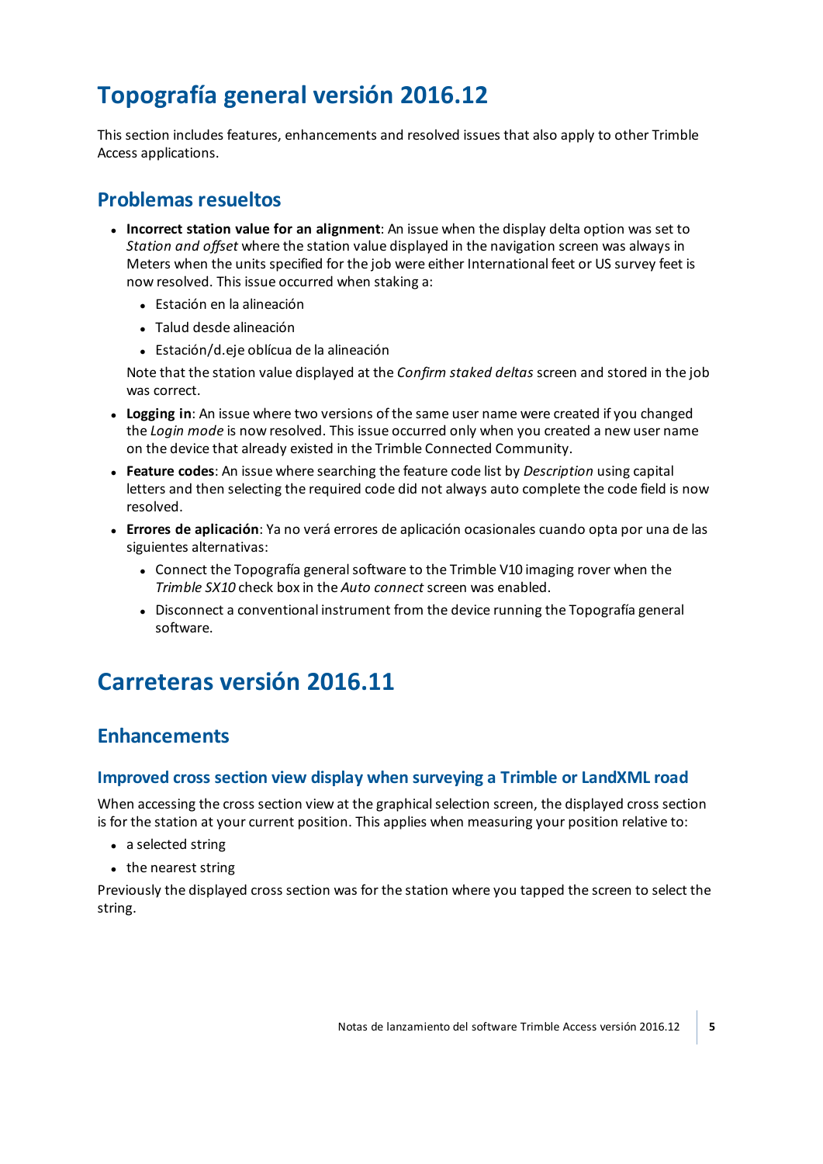## <span id="page-4-0"></span>**Topografía general versión 2016.12**

This section includes features, enhancements and resolved issues that also apply to other Trimble Access applications.

## **Problemas resueltos**

- <sup>l</sup> **Incorrect station value for an alignment**: An issue when the display delta option was set to *Station and offset* where the station value displayed in the navigation screen was always in Meters when the units specified for the job were either International feet or US survey feet is now resolved. This issue occurred when staking a:
	- **·** Estación en la alineación
	- Talud desde alineación
	- Estación/d.eje oblícua de la alineación

Note that the station value displayed at the *Confirm staked deltas* screen and stored in the job was correct.

- **Logging in**: An issue where two versions of the same user name were created if you changed the *Login mode* is now resolved. This issue occurred only when you created a new user name on the device that already existed in the Trimble Connected Community.
- <sup>l</sup> **Feature codes**: An issue where searching the feature code list by *Description* using capital letters and then selecting the required code did not always auto complete the code field is now resolved.
- <sup>l</sup> **Errores de aplicación**: Ya no verá errores de aplicación ocasionales cuando opta por una de las siguientes alternativas:
	- Connect the Topografía general software to the Trimble V10 imaging rover when the *Trimble SX10* check box in the *Auto connect* screen was enabled.
	- Disconnect a conventional instrument from the device running the Topografía general software.

## <span id="page-4-1"></span>**Carreteras versión 2016.11**

## **Enhancements**

#### **Improved cross section view display when surveying a Trimble or LandXML road**

When accessing the cross section view at the graphical selection screen, the displayed cross section is for the station at your current position. This applies when measuring your position relative to:

- $\bullet$  a selected string
- $\bullet$  the nearest string

Previously the displayed cross section was for the station where you tapped the screen to select the string.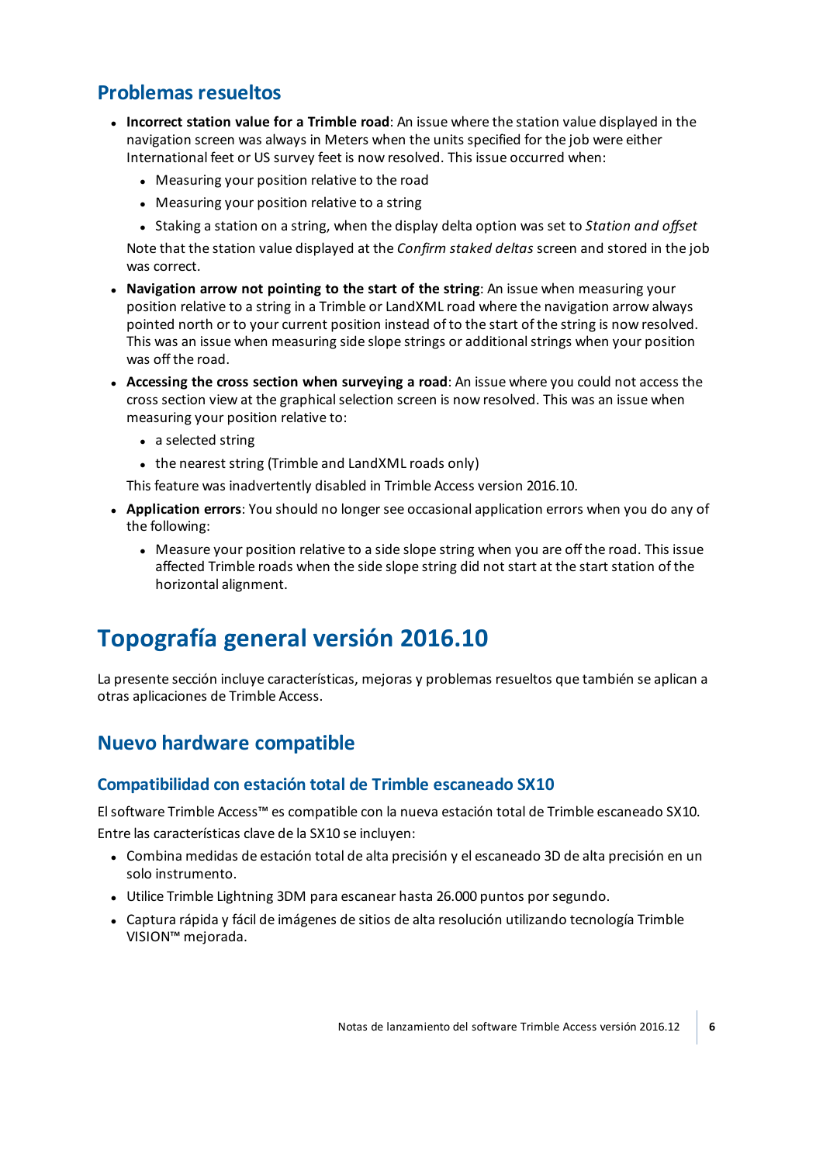## **Problemas resueltos**

- <sup>l</sup> **Incorrect station value for a Trimble road**: An issue where the station value displayed in the navigation screen was always in Meters when the units specified for the job were either International feet or US survey feet is now resolved. This issue occurred when:
	- Measuring your position relative to the road
	- Measuring your position relative to a string
	- <sup>l</sup> Staking a station on a string, when the display delta option was set to *Station and offset*

Note that the station value displayed at the *Confirm staked deltas* screen and stored in the job was correct.

- <sup>l</sup> **Navigation arrow not pointing to the start of the string**: An issue when measuring your position relative to a string in a Trimble or LandXML road where the navigation arrow always pointed north or to your current position instead of to the start of the string is now resolved. This was an issue when measuring side slope strings or additional strings when your position was off the road.
- <sup>l</sup> **Accessing the cross section when surveying a road**: An issue where you could not access the cross section view at the graphical selection screen is now resolved. This was an issue when measuring your position relative to:
	- a selected string
	- $\bullet$  the nearest string (Trimble and LandXML roads only)

This feature was inadvertently disabled in Trimble Access version 2016.10.

- <sup>l</sup> **Application errors**: You should no longer see occasional application errors when you do any of the following:
	- Measure your position relative to a side slope string when you are off the road. This issue affected Trimble roads when the side slope string did not start at the start station of the horizontal alignment.

## <span id="page-5-0"></span>**Topografía general versión 2016.10**

La presente sección incluye características, mejoras y problemas resueltos que también se aplican a otras aplicaciones de Trimble Access.

## **Nuevo hardware compatible**

## **Compatibilidad con estación total de Trimble escaneado SX10**

Elsoftware Trimble Access™ es compatible con la nueva estación total de Trimble escaneado SX10. Entre las características clave de la SX10 se incluyen:

- <sup>l</sup> Combina medidas de estación total de alta precisión y el escaneado 3D de alta precisión en un solo instrumento.
- Utilice Trimble Lightning 3DM para escanear hasta 26.000 puntos por segundo.
- <sup>l</sup> Captura rápida y fácil de imágenes de sitios de alta resolución utilizando tecnología Trimble VISION™ mejorada.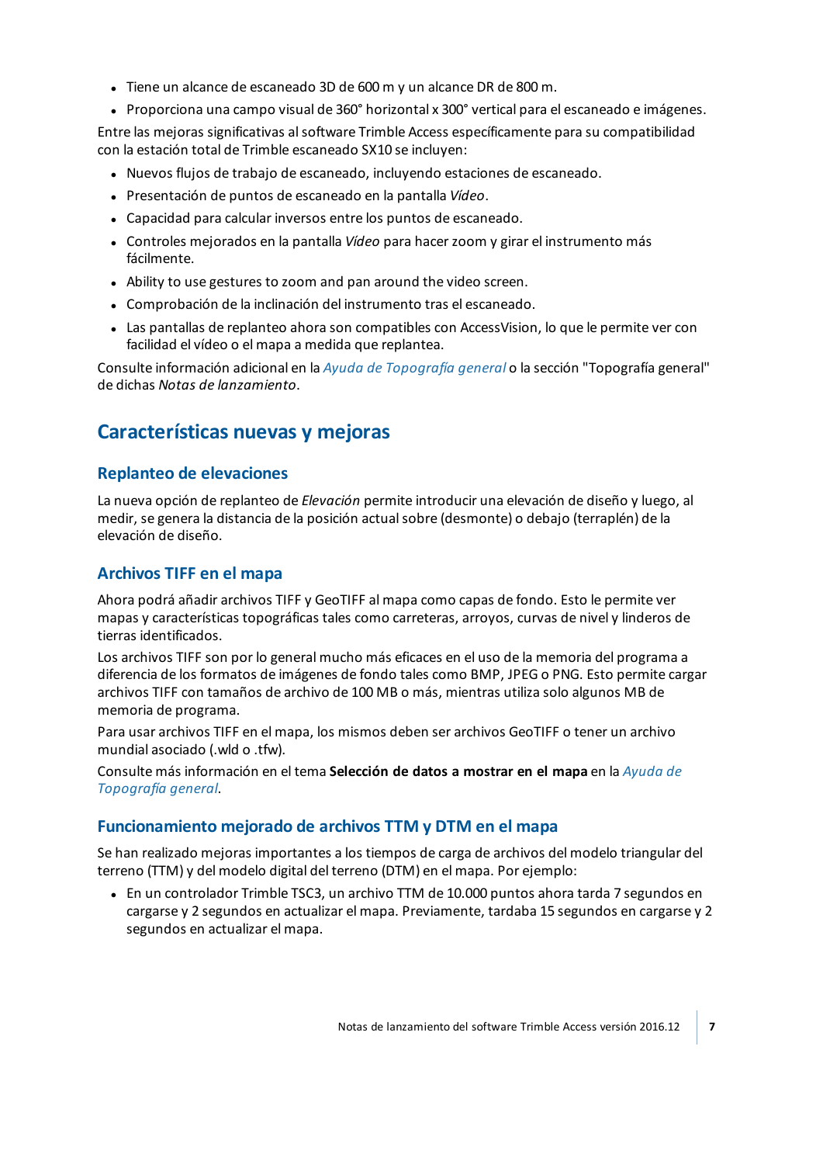- Tiene un alcance de escaneado 3D de 600 m y un alcance DR de 800 m.
- <sup>l</sup> Proporciona una campo visual de 360° horizontal x 300° vertical para el escaneado e imágenes.

Entre las mejoras significativas alsoftware Trimble Access específicamente para su compatibilidad con la estación total de Trimble escaneado SX10 se incluyen:

- Nuevos flujos de trabajo de escaneado, incluyendo estaciones de escaneado.
- <sup>l</sup> Presentación de puntos de escaneado en la pantalla *Vídeo*.
- Capacidad para calcular inversos entre los puntos de escaneado.
- <sup>l</sup> Controles mejorados en la pantalla *Vídeo* para hacerzoom y girar el instrumento más fácilmente.
- Ability to use gestures to zoom and pan around the video screen.
- Comprobación de la inclinación del instrumento tras el escaneado.
- Las pantallas de replanteo ahora son compatibles con AccessVision, lo que le permite ver con facilidad el vídeo o el mapa a medida que replantea.

Consulte información adicional en la *Ayuda de [Topografía](http://apps.trimbleaccess.com/help) general* o la sección "Topografía general" de dichas *Notas de lanzamiento*.

## **Características nuevas y mejoras**

### **Replanteo de elevaciones**

La nueva opción de replanteo de *Elevación* permite introducir una elevación de diseño y luego, al medir, se genera la distancia de la posición actualsobre (desmonte) o debajo (terraplén) de la elevación de diseño.

## **Archivos TIFF en el mapa**

Ahora podrá añadir archivos TIFF y GeoTIFF al mapa como capas de fondo. Esto le permite ver mapas y características topográficas tales como carreteras, arroyos, curvas de nivel y linderos de tierras identificados.

Los archivos TIFF son por lo general mucho más eficaces en el uso de la memoria del programa a diferencia de los formatos de imágenes de fondo tales como BMP, JPEG o PNG. Esto permite cargar archivos TIFF con tamaños de archivo de 100 MB o más, mientras utiliza solo algunos MB de memoria de programa.

Para usar archivos TIFF en el mapa, los mismos deben ser archivos GeoTIFF o tener un archivo mundial asociado (.wld o .tfw).

Consulte más información en el tema **Selección de datos a mostrar en el mapa** en la *[Ayuda](http://apps.trimbleaccess.com/help) de [Topografía](http://apps.trimbleaccess.com/help) general*.

## **Funcionamiento mejorado de archivos TTM y DTM en el mapa**

Se han realizado mejoras importantes a los tiempos de carga de archivos del modelo triangular del terreno (TTM) y del modelo digital del terreno (DTM) en el mapa. Por ejemplo:

• En un controlador Trimble TSC3, un archivo TTM de 10.000 puntos ahora tarda 7 segundos en cargarse y 2 segundos en actualizar el mapa. Previamente, tardaba 15 segundos en cargarse y 2 segundos en actualizar el mapa.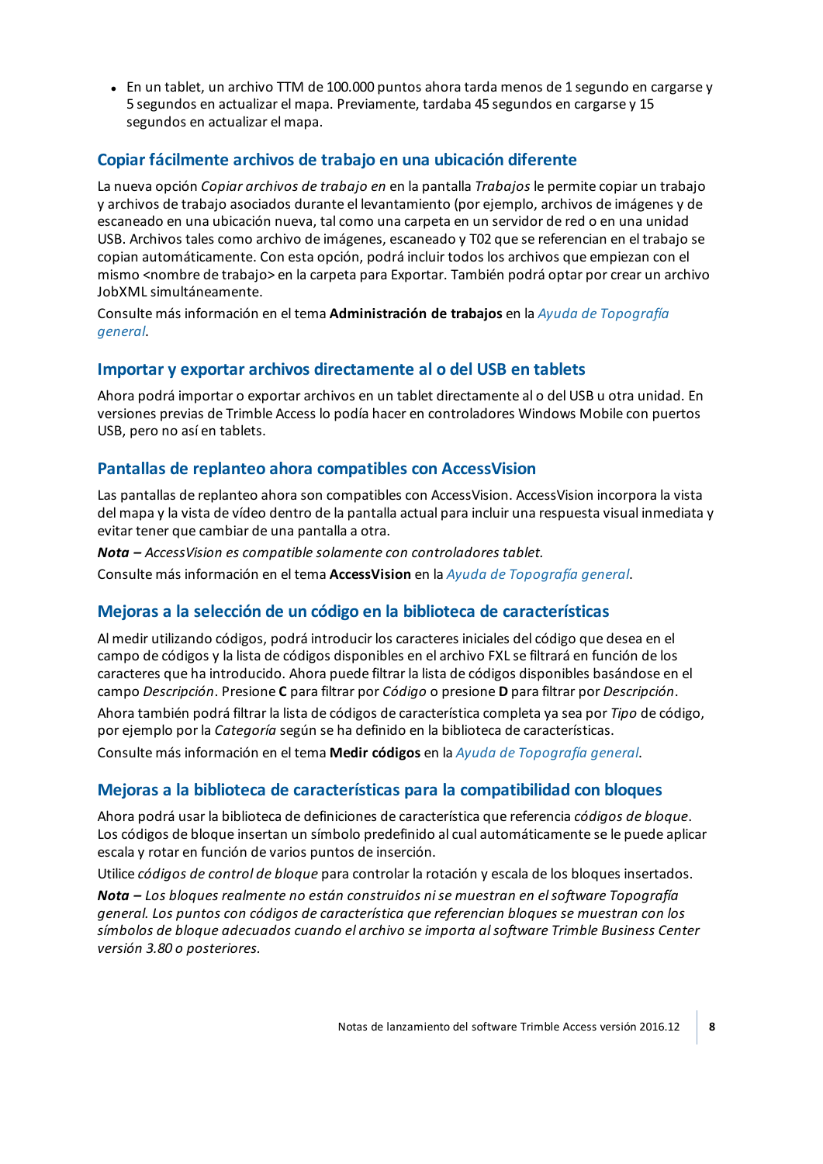• En un tablet, un archivo TTM de 100.000 puntos ahora tarda menos de 1 segundo en cargarse y 5 segundos en actualizar el mapa. Previamente, tardaba 45 segundos en cargarse y 15 segundos en actualizar el mapa.

## **Copiar fácilmente archivos de trabajo en una ubicación diferente**

La nueva opción *Copiar archivos de trabajo en* en la pantalla *Trabajos* le permite copiar un trabajo y archivos de trabajo asociados durante el levantamiento (por ejemplo, archivos de imágenes y de escaneado en una ubicación nueva, tal como una carpeta en un servidor de red o en una unidad USB. Archivos tales como archivo de imágenes, escaneado y T02 que se referencian en el trabajo se copian automáticamente. Con esta opción, podrá incluir todos los archivos que empiezan con el mismo <nombre de trabajo> en la carpeta para Exportar. También podrá optar por crear un archivo JobXML simultáneamente.

Consulte más información en el tema **Administración de trabajos** en la *Ayuda de [Topografía](http://apps.trimbleaccess.com/help) [general](http://apps.trimbleaccess.com/help)*.

### **Importar y exportar archivos directamente al o del USB en tablets**

Ahora podrá importar o exportar archivos en un tablet directamente al o del USB u otra unidad. En versiones previas de Trimble Access lo podía hacer en controladores Windows Mobile con puertos USB, pero no así en tablets.

### **Pantallas de replanteo ahora compatibles con AccessVision**

Las pantallas de replanteo ahora son compatibles con AccessVision. AccessVision incorpora la vista del mapa y la vista de vídeo dentro de la pantalla actual para incluir una respuesta visual inmediata y evitar tener que cambiar de una pantalla a otra.

*Nota – AccessVision es compatible solamente con controladores tablet.*

Consulte más información en el tema **AccessVision** en la *Ayuda de [Topografía](http://apps.trimbleaccess.com/help) general*.

## **Mejoras a la selección de un código en la biblioteca de características**

Al medir utilizando códigos, podrá introducir los caracteres iniciales del código que desea en el campo de códigos y la lista de códigos disponibles en el archivo FXL se filtrará en función de los caracteres que ha introducido. Ahora puede filtrar la lista de códigos disponibles basándose en el campo *Descripción*. Presione **C** para filtrar por *Código* o presione **D** para filtrar por *Descripción*.

Ahora también podrá filtrar la lista de códigos de característica completa ya sea por *Tipo* de código, por ejemplo por la *Categoría* según se ha definido en la biblioteca de características.

Consulte más información en el tema **Medir códigos** en la *Ayuda de [Topografía](http://apps.trimbleaccess.com/help) general*.

## **Mejoras a la biblioteca de características para la compatibilidad con bloques**

Ahora podrá usar la biblioteca de definiciones de característica que referencia *códigos de bloque*. Los códigos de bloque insertan un símbolo predefinido al cual automáticamente se le puede aplicar escala y rotar en función de varios puntos de inserción.

Utilice *códigos de control de bloque* para controlar la rotación y escala de los bloques insertados.

*Nota – Los bloques realmente no están construidos nise muestran en elsoftware Topografía general. Los puntos con códigos de característica que referencian bloques se muestran con los símbolos de bloque adecuados cuando el archivo se importa alsoftware Trimble Business Center versión 3.80 o posteriores.*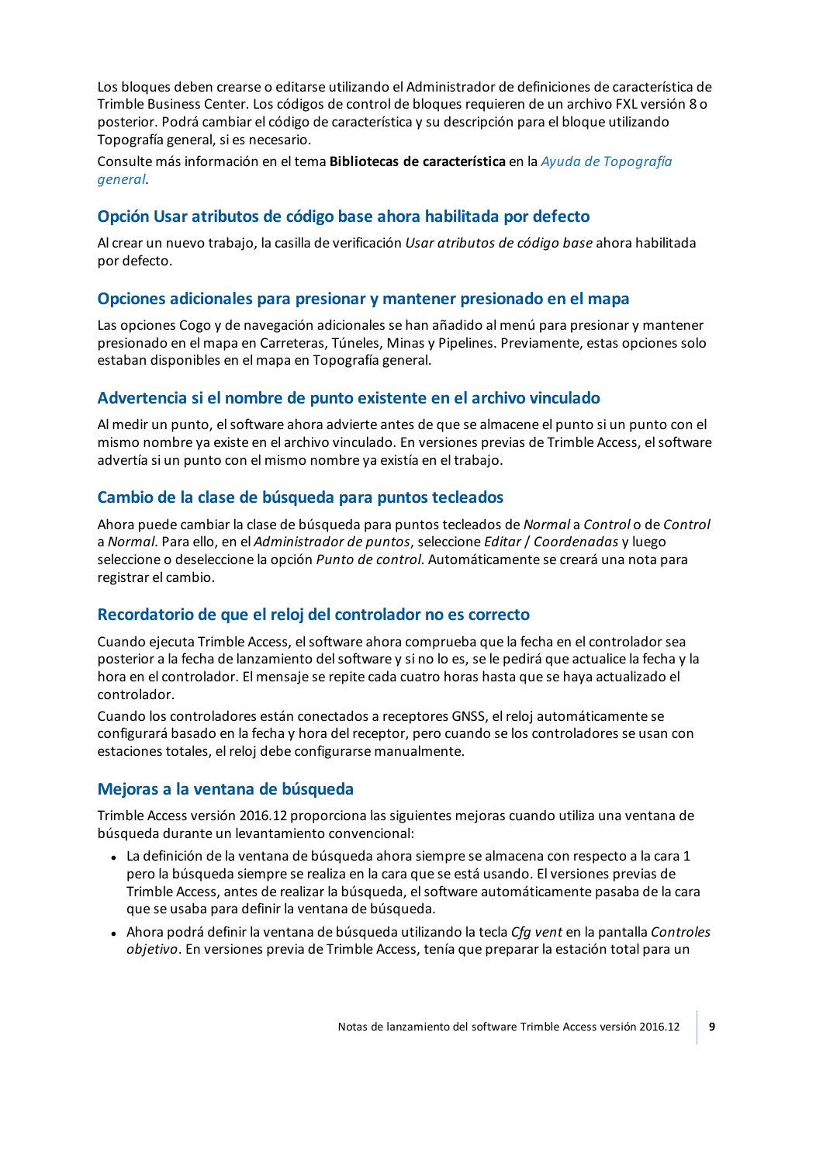Los bloques deben crearse o editarse utilizando el Administrador de definiciones de característica de Trimble Business Center. Los códigos de control de bloques requieren de un archivo FXL versión 8 o posterior. Podrá cambiar el código de característica y su descripción para el bloque utilizando Topografía general, si es necesario.

Consulte más información en el tema **Bibliotecas de característica** en la *Ayuda de [Topografía](http://apps.trimbleaccess.com/help) [general](http://apps.trimbleaccess.com/help)*.

## **Opción Usar atributos de código base ahora habilitada por defecto**

Al crear un nuevo trabajo, la casilla de verificación *Usar atributos de código base* ahora habilitada por defecto.

## **Opciones adicionales para presionar y mantener presionado en el mapa**

Las opciones Cogo y de navegación adicionales se han añadido al menú para presionar y mantener presionado en el mapa en Carreteras, Túneles, Minas y Pipelines. Previamente, estas opciones solo estaban disponibles en el mapa en Topografía general.

## **Advertencia si el nombre de punto existente en el archivo vinculado**

Al medir un punto, elsoftware ahora advierte antes de que se almacene el punto si un punto con el mismo nombre ya existe en el archivo vinculado. En versiones previas de Trimble Access, elsoftware advertía si un punto con el mismo nombre ya existía en el trabajo.

## **Cambio de la clase de búsqueda para puntos tecleados**

Ahora puede cambiar la clase de búsqueda para puntos tecleados de *Normal* a *Control* o de *Control* a *Normal*. Para ello, en el *Administrador de puntos*, seleccione *Editar* / *Coordenadas* y luego seleccione o deseleccione la opción *Punto de control*. Automáticamente se creará una nota para registrar el cambio.

## **Recordatorio de que el reloj del controlador no es correcto**

Cuando ejecuta Trimble Access, elsoftware ahora comprueba que la fecha en el controlador sea posterior a la fecha de lanzamiento delsoftware y si no lo es, se le pedirá que actualice la fecha y la hora en el controlador. El mensaje se repite cada cuatro horas hasta que se haya actualizado el controlador.

Cuando los controladores están conectados a receptores GNSS, el reloj automáticamente se configurará basado en la fecha y hora del receptor, pero cuando se los controladores se usan con estaciones totales, el reloj debe configurarse manualmente.

## **Mejoras a la ventana de búsqueda**

Trimble Access versión 2016.12 proporciona las siguientes mejoras cuando utiliza una ventana de búsqueda durante un levantamiento convencional:

- La definición de la ventana de búsqueda ahora siempre se almacena con respecto a la cara 1 pero la búsqueda siempre se realiza en la cara que se está usando. El versiones previas de Trimble Access, antes de realizar la búsqueda, elsoftware automáticamente pasaba de la cara que se usaba para definir la ventana de búsqueda.
- <sup>l</sup> Ahora podrá definir la ventana de búsqueda utilizando la tecla *Cfg vent* en la pantalla *Controles objetivo*. En versiones previa de Trimble Access, tenía que preparar la estación total para un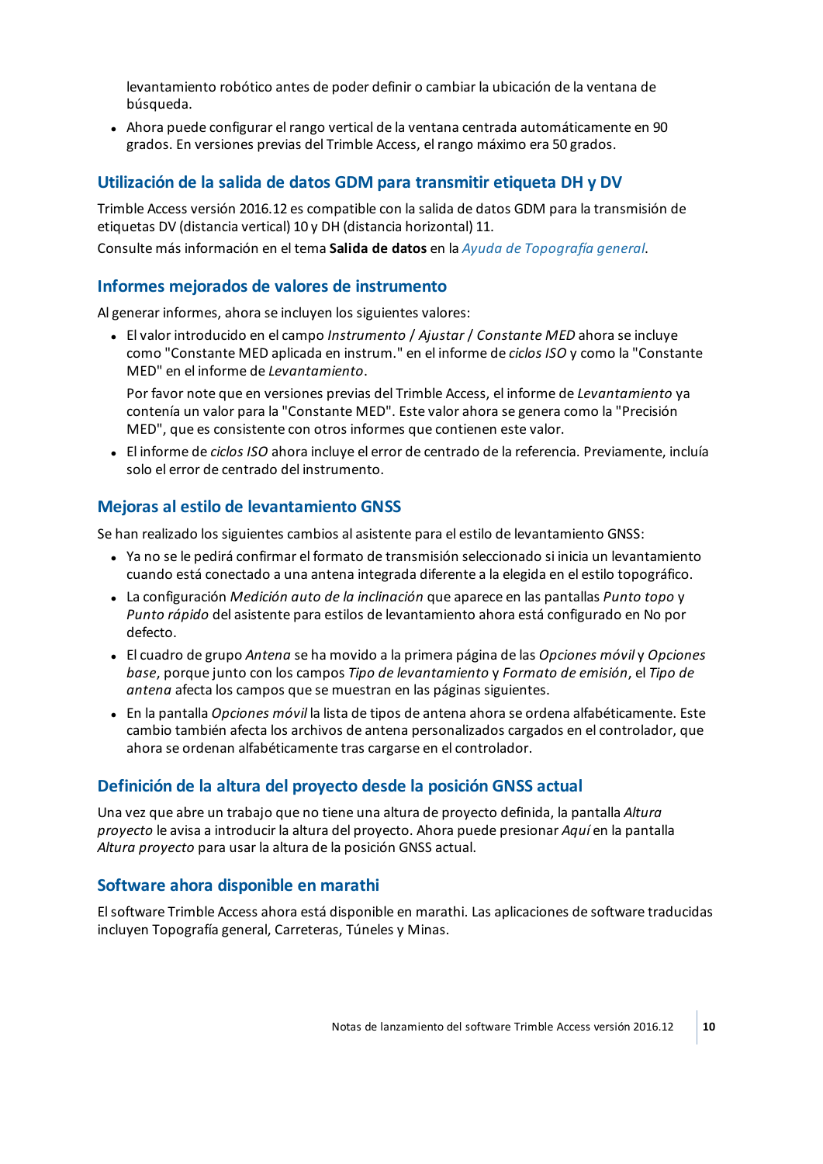levantamiento robótico antes de poder definir o cambiar la ubicación de la ventana de búsqueda.

<sup>l</sup> Ahora puede configurar el rango vertical de la ventana centrada automáticamente en 90 grados. En versiones previas del Trimble Access, el rango máximo era 50 grados.

### **Utilización de la salida de datos GDM para transmitir etiqueta DH y DV**

Trimble Access versión 2016.12 es compatible con la salida de datos GDM para la transmisión de etiquetas DV (distancia vertical) 10 y DH (distancia horizontal) 11.

Consulte más información en el tema **Salida de datos** en la *Ayuda de [Topografía](http://apps.trimbleaccess.com/help) general*.

#### **Informes mejorados de valores de instrumento**

Al generar informes, ahora se incluyen los siguientes valores:

<sup>l</sup> El valor introducido en el campo *Instrumento* / *Ajustar* / *Constante MED* ahora se incluye como "Constante MED aplicada en instrum." en el informe de *ciclos ISO* y como la "Constante MED" en el informe de *Levantamiento*.

Por favor note que en versiones previas del Trimble Access, el informe de *Levantamiento* ya contenía un valor para la "Constante MED". Este valor ahora se genera como la "Precisión MED", que es consistente con otros informes que contienen este valor.

<sup>l</sup> El informe de *ciclos ISO* ahora incluye el error de centrado de la referencia. Previamente, incluía solo el error de centrado del instrumento.

### **Mejoras al estilo de levantamiento GNSS**

Se han realizado los siguientes cambios al asistente para el estilo de levantamiento GNSS:

- <sup>l</sup> Ya no se le pedirá confirmar el formato de transmisión seleccionado si inicia un levantamiento cuando está conectado a una antena integrada diferente a la elegida en el estilo topográfico.
- <sup>l</sup> La configuración *Medición auto de la inclinación* que aparece en las pantallas *Punto topo* y *Punto rápido* del asistente para estilos de levantamiento ahora está configurado en No por defecto.
- <sup>l</sup> El cuadro de grupo *Antena* se ha movido a la primera página de las *Opciones móvil* y *Opciones base*, porque junto con los campos *Tipo de levantamiento* y *Formato de emisión*, el *Tipo de antena* afecta los campos que se muestran en las páginas siguientes.
- <sup>l</sup> En la pantalla *Opciones móvil* la lista de tipos de antena ahora se ordena alfabéticamente. Este cambio también afecta los archivos de antena personalizados cargados en el controlador, que ahora se ordenan alfabéticamente tras cargarse en el controlador.

#### **Definición de la altura del proyecto desde la posición GNSS actual**

Una vez que abre un trabajo que no tiene una altura de proyecto definida, la pantalla *Altura proyecto* le avisa a introducir la altura del proyecto. Ahora puede presionar *Aquí* en la pantalla *Altura proyecto* para usar la altura de la posición GNSS actual.

#### **Software ahora disponible en marathi**

Elsoftware Trimble Access ahora está disponible en marathi. Las aplicaciones de software traducidas incluyen Topografía general, Carreteras, Túneles y Minas.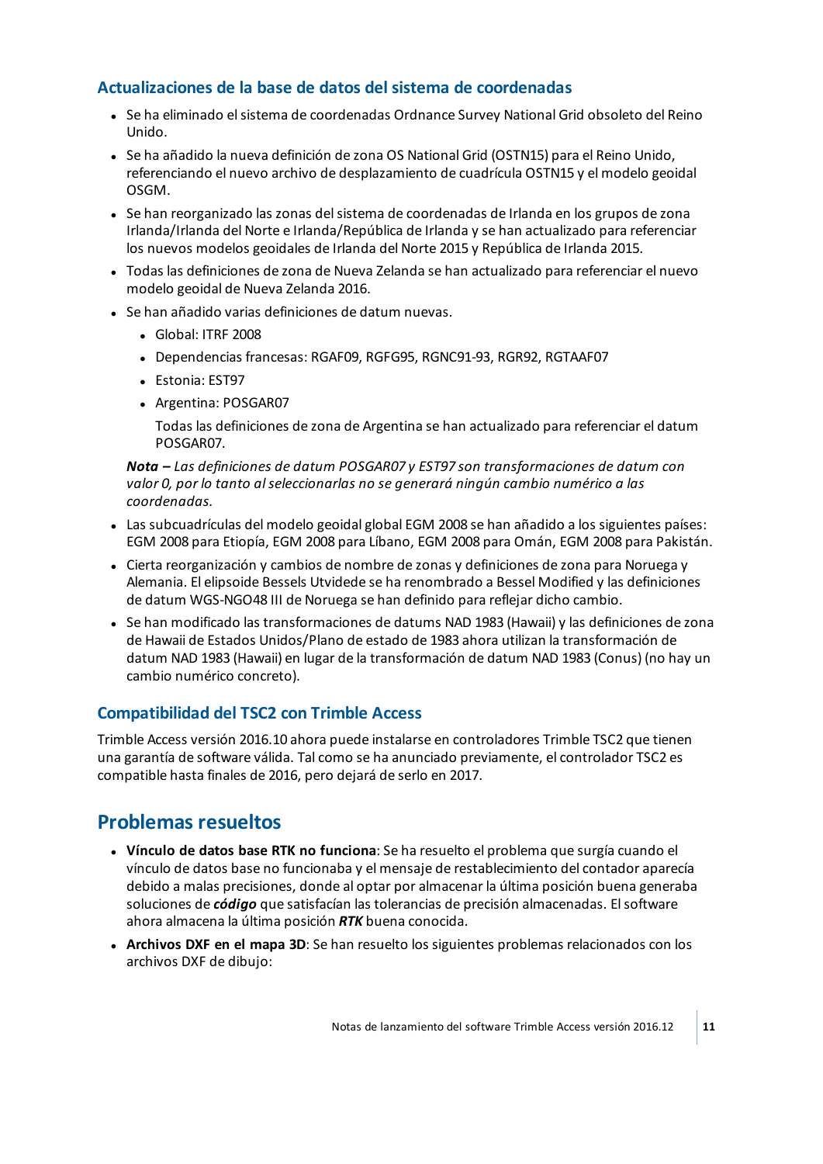## **Actualizaciones de la base de datos del sistema de coordenadas**

- <sup>l</sup> Se ha eliminado elsistema de coordenadas Ordnance Survey National Grid obsoleto del Reino Unido.
- Se ha añadido la nueva definición de zona OS National Grid (OSTN15) para el Reino Unido, referenciando el nuevo archivo de desplazamiento de cuadrícula OSTN15 y el modelo geoidal OSGM.
- Se han reorganizado las zonas del sistema de coordenadas de Irlanda en los grupos de zona Irlanda/Irlanda del Norte e Irlanda/República de Irlanda y se han actualizado para referenciar los nuevos modelos geoidales de Irlanda del Norte 2015 y República de Irlanda 2015.
- Todas las definiciones de zona de Nueva Zelanda se han actualizado para referenciar el nuevo modelo geoidal de Nueva Zelanda 2016.
- Se han añadido varias definiciones de datum nuevas.
	- Global: ITRF 2008
	- Dependencias francesas: RGAF09, RGFG95, RGNC91-93, RGR92, RGTAAF07
	- Estonia: EST97
	- Argentina: POSGAR07

Todas las definiciones de zona de Argentina se han actualizado para referenciar el datum POSGAR07.

*Nota – Las definiciones de datum POSGAR07 y EST97 son transformaciones de datum con valor 0, por lo tanto alseleccionarlas no se generará ningún cambio numérico a las coordenadas.*

- Las subcuadrículas del modelo geoidal global EGM 2008 se han añadido a los siguientes países: EGM 2008 para Etiopía, EGM 2008 para Líbano, EGM 2008 para Omán, EGM 2008 para Pakistán.
- Cierta reorganización y cambios de nombre de zonas y definiciones de zona para Noruega y Alemania. El elipsoide Bessels Utvidede se ha renombrado a Bessel Modified y las definiciones de datum WGS-NGO48 III de Noruega se han definido para reflejar dicho cambio.
- Se han modificado las transformaciones de datums NAD 1983 (Hawaii) y las definiciones de zona de Hawaii de Estados Unidos/Plano de estado de 1983 ahora utilizan la transformación de datum NAD 1983 (Hawaii) en lugar de la transformación de datum NAD 1983 (Conus) (no hay un cambio numérico concreto).

## **Compatibilidad del TSC2 con Trimble Access**

Trimble Access versión 2016.10 ahora puede instalarse en controladores Trimble TSC2 que tienen una garantía de software válida. Tal como se ha anunciado previamente, el controlador TSC2 es compatible hasta finales de 2016, pero dejará de serlo en 2017.

## **Problemas resueltos**

- <sup>l</sup> **Vínculo de datos base RTK no funciona**: Se ha resuelto el problema que surgía cuando el vínculo de datos base no funcionaba y el mensaje de restablecimiento del contador aparecía debido a malas precisiones, donde al optar por almacenar la última posición buena generaba soluciones de *código* que satisfacían las tolerancias de precisión almacenadas. Elsoftware ahora almacena la última posición *RTK* buena conocida.
- <sup>l</sup> **Archivos DXF en el mapa 3D**: Se han resuelto los siguientes problemas relacionados con los archivos DXF de dibujo: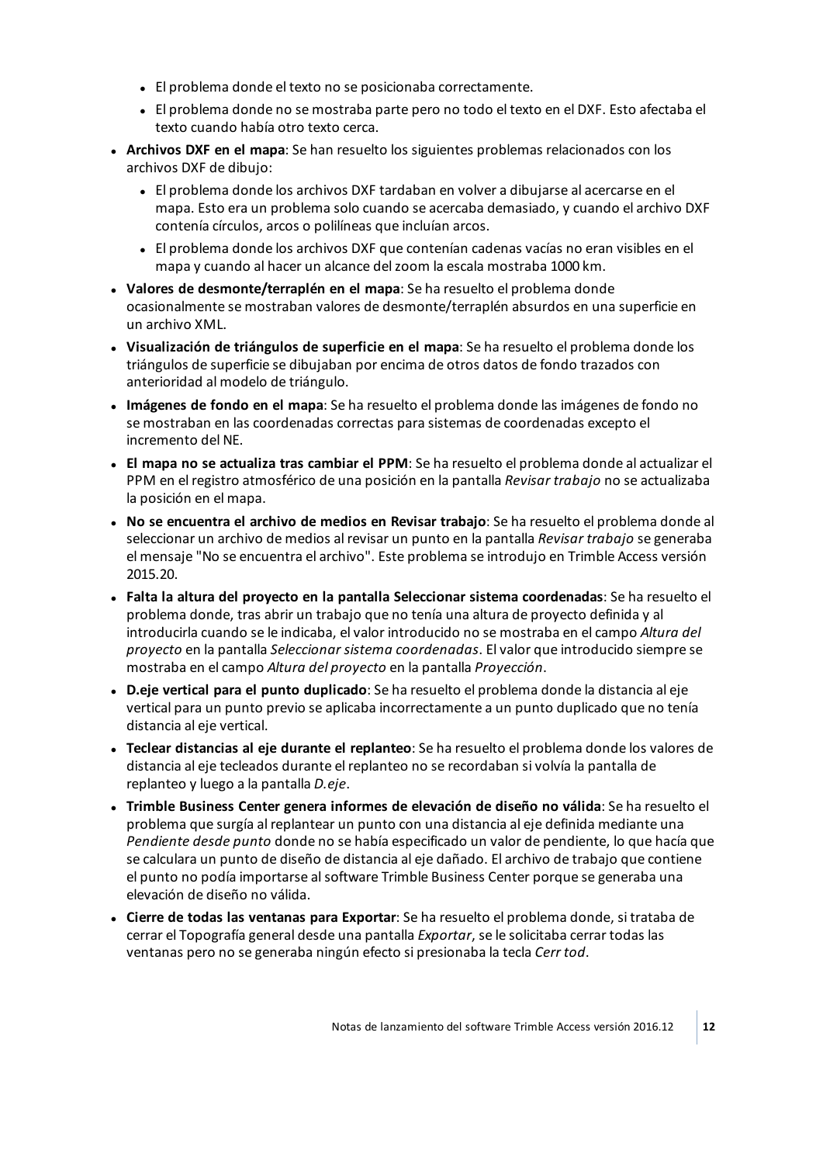- El problema donde el texto no se posicionaba correctamente.
- El problema donde no se mostraba parte pero no todo el texto en el DXF. Esto afectaba el texto cuando había otro texto cerca.
- <sup>l</sup> **Archivos DXF en el mapa**: Se han resuelto los siguientes problemas relacionados con los archivos DXF de dibujo:
	- <sup>l</sup> El problema donde los archivos DXF tardaban en volver a dibujarse al acercarse en el mapa. Esto era un problema solo cuando se acercaba demasiado, y cuando el archivo DXF contenía círculos, arcos o polilíneas que incluían arcos.
	- El problema donde los archivos DXF que contenían cadenas vacías no eran visibles en el mapa y cuando al hacer un alcance delzoom la escala mostraba 1000 km.
- <sup>l</sup> **Valores de desmonte/terraplén en el mapa**: Se ha resuelto el problema donde ocasionalmente se mostraban valores de desmonte/terraplén absurdos en una superficie en un archivo XML.
- <sup>l</sup> **Visualización de triángulos de superficie en el mapa**: Se ha resuelto el problema donde los triángulos de superficie se dibujaban por encima de otros datos de fondo trazados con anterioridad al modelo de triángulo.
- <sup>l</sup> **Imágenes de fondo en el mapa**: Se ha resuelto el problema donde las imágenes de fondo no se mostraban en las coordenadas correctas para sistemas de coordenadas excepto el incremento del NE.
- <sup>l</sup> **El mapa no se actualiza tras cambiar el PPM**: Se ha resuelto el problema donde al actualizar el PPM en el registro atmosférico de una posición en la pantalla *Revisar trabajo* no se actualizaba la posición en el mapa.
- <sup>l</sup> **No se encuentra el archivo de medios en Revisar trabajo**: Se ha resuelto el problema donde al seleccionar un archivo de medios al revisar un punto en la pantalla *Revisar trabajo* se generaba el mensaje "No se encuentra el archivo". Este problema se introdujo en Trimble Access versión 2015.20.
- <sup>l</sup> **Falta la altura del proyecto en la pantalla Seleccionar sistema coordenadas**: Se ha resuelto el problema donde, tras abrir un trabajo que no tenía una altura de proyecto definida y al introducirla cuando se le indicaba, el valor introducido no se mostraba en el campo *Altura del proyecto* en la pantalla *Seleccionar sistema coordenadas*. El valor que introducido siempre se mostraba en el campo *Altura del proyecto* en la pantalla *Proyección*.
- <sup>l</sup> **D.eje vertical para el punto duplicado**: Se ha resuelto el problema donde la distancia al eje vertical para un punto previo se aplicaba incorrectamente a un punto duplicado que no tenía distancia al eje vertical.
- <sup>l</sup> **Teclear distancias al eje durante el replanteo**: Se ha resuelto el problema donde los valores de distancia al eje tecleados durante el replanteo no se recordaban si volvía la pantalla de replanteo y luego a la pantalla *D.eje*.
- <sup>l</sup> **Trimble Business Center genera informes de elevación de diseño no válida**: Se ha resuelto el problema que surgía al replantear un punto con una distancia al eje definida mediante una *Pendiente desde punto* donde no se había especificado un valor de pendiente, lo que hacía que se calculara un punto de diseño de distancia al eje dañado. El archivo de trabajo que contiene el punto no podía importarse alsoftware Trimble Business Center porque se generaba una elevación de diseño no válida.
- <sup>l</sup> **Cierre de todas las ventanas para Exportar**: Se ha resuelto el problema donde, si trataba de cerrar el Topografía general desde una pantalla *Exportar*, se le solicitaba cerrar todas las ventanas pero no se generaba ningún efecto si presionaba la tecla *Cerr tod*.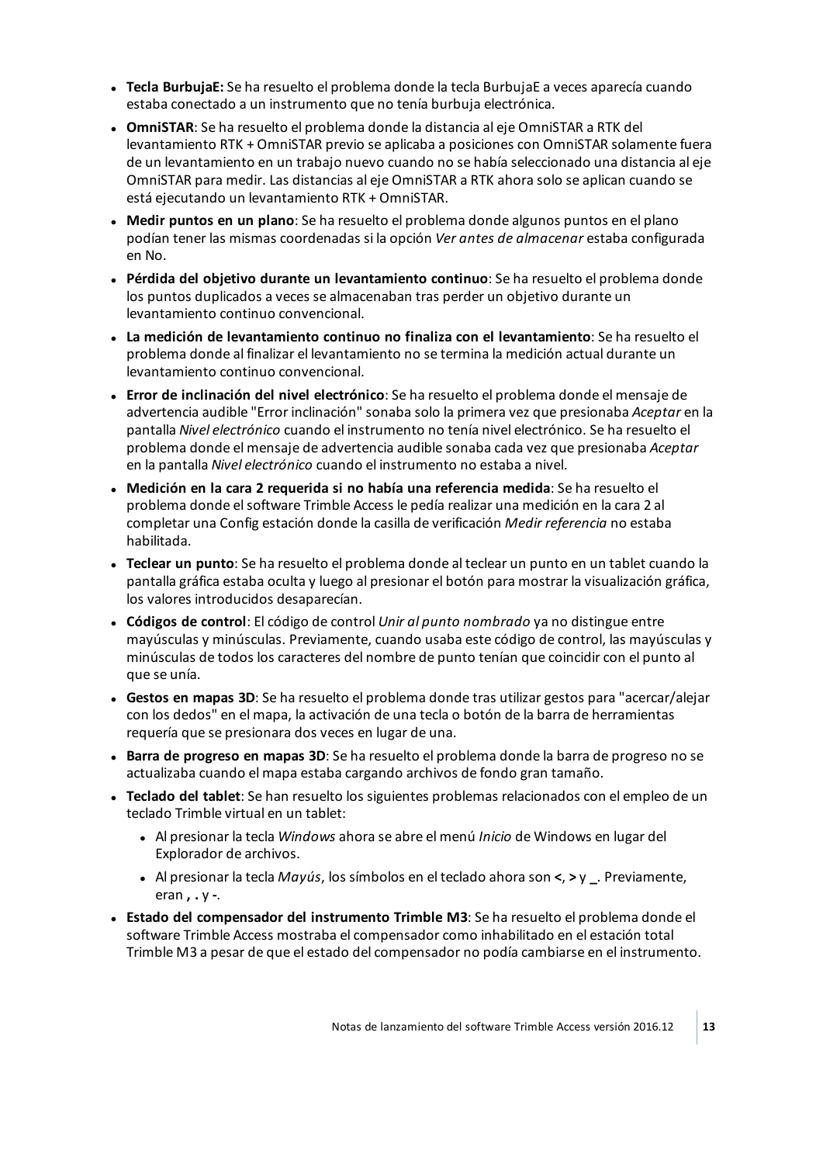- <sup>l</sup> **Tecla BurbujaE:** Se ha resuelto el problema donde la tecla BurbujaE a veces aparecía cuando estaba conectado a un instrumento que no tenía burbuja electrónica.
- <sup>l</sup> **OmniSTAR**: Se ha resuelto el problema donde la distancia al eje OmniSTAR a RTK del levantamiento RTK + OmniSTAR previo se aplicaba a posiciones con OmniSTAR solamente fuera de un levantamiento en un trabajo nuevo cuando no se había seleccionado una distancia al eje OmniSTAR para medir. Las distancias al eje OmniSTAR a RTK ahora solo se aplican cuando se está ejecutando un levantamiento RTK + OmniSTAR.
- <sup>l</sup> **Medir puntos en un plano**: Se ha resuelto el problema donde algunos puntos en el plano podían tener las mismas coordenadas si la opción *Ver antes de almacenar* estaba configurada en No.
- <sup>l</sup> **Pérdida del objetivo durante un levantamiento continuo**: Se ha resuelto el problema donde los puntos duplicados a veces se almacenaban tras perder un objetivo durante un levantamiento continuo convencional.
- <sup>l</sup> **La medición de levantamiento continuo no finaliza con el levantamiento**: Se ha resuelto el problema donde al finalizar el levantamiento no se termina la medición actual durante un levantamiento continuo convencional.
- <sup>l</sup> **Error de inclinación del nivel electrónico**: Se ha resuelto el problema donde el mensaje de advertencia audible "Error inclinación" sonaba solo la primera vez que presionaba *Aceptar* en la pantalla *Nivel electrónico* cuando el instrumento no tenía nivel electrónico. Se ha resuelto el problema donde el mensaje de advertencia audible sonaba cada vez que presionaba *Aceptar* en la pantalla *Nivel electrónico* cuando el instrumento no estaba a nivel.
- <sup>l</sup> **Medición en la cara 2 requerida si no había una referencia medida**: Se ha resuelto el problema donde elsoftware Trimble Access le pedía realizar una medición en la cara 2 al completar una Config estación donde la casilla de verificación *Medir referencia* no estaba habilitada.
- <sup>l</sup> **Teclear un punto**: Se ha resuelto el problema donde al teclear un punto en un tablet cuando la pantalla gráfica estaba oculta y luego al presionar el botón para mostrar la visualización gráfica, los valores introducidos desaparecían.
- <sup>l</sup> **Códigos de control**: El código de control *Unir al punto nombrado* ya no distingue entre mayúsculas y minúsculas. Previamente, cuando usaba este código de control, las mayúsculas y minúsculas de todos los caracteres del nombre de punto tenían que coincidir con el punto al que se unía.
- <sup>l</sup> **Gestos en mapas 3D**: Se ha resuelto el problema donde tras utilizar gestos para "acercar/alejar con los dedos" en el mapa, la activación de una tecla o botón de la barra de herramientas requería que se presionara dos veces en lugar de una.
- <sup>l</sup> **Barra de progreso en mapas 3D**: Se ha resuelto el problema donde la barra de progreso no se actualizaba cuando el mapa estaba cargando archivos de fondo gran tamaño.
- <sup>l</sup> **Teclado del tablet**: Se han resuelto los siguientes problemas relacionados con el empleo de un teclado Trimble virtual en un tablet:
	- <sup>l</sup> Al presionar la tecla *Windows* ahora se abre el menú *Inicio* de Windows en lugar del Explorador de archivos.
	- <sup>l</sup> Al presionar la tecla *Mayús*, los símbolos en el teclado ahora son **<**, **>** y **\_**. Previamente, eran **, .** y **-**.
- <sup>l</sup> **Estado del compensador del instrumento Trimble M3**: Se ha resuelto el problema donde el software Trimble Access mostraba el compensador como inhabilitado en el estación total Trimble M3 a pesar de que el estado del compensador no podía cambiarse en el instrumento.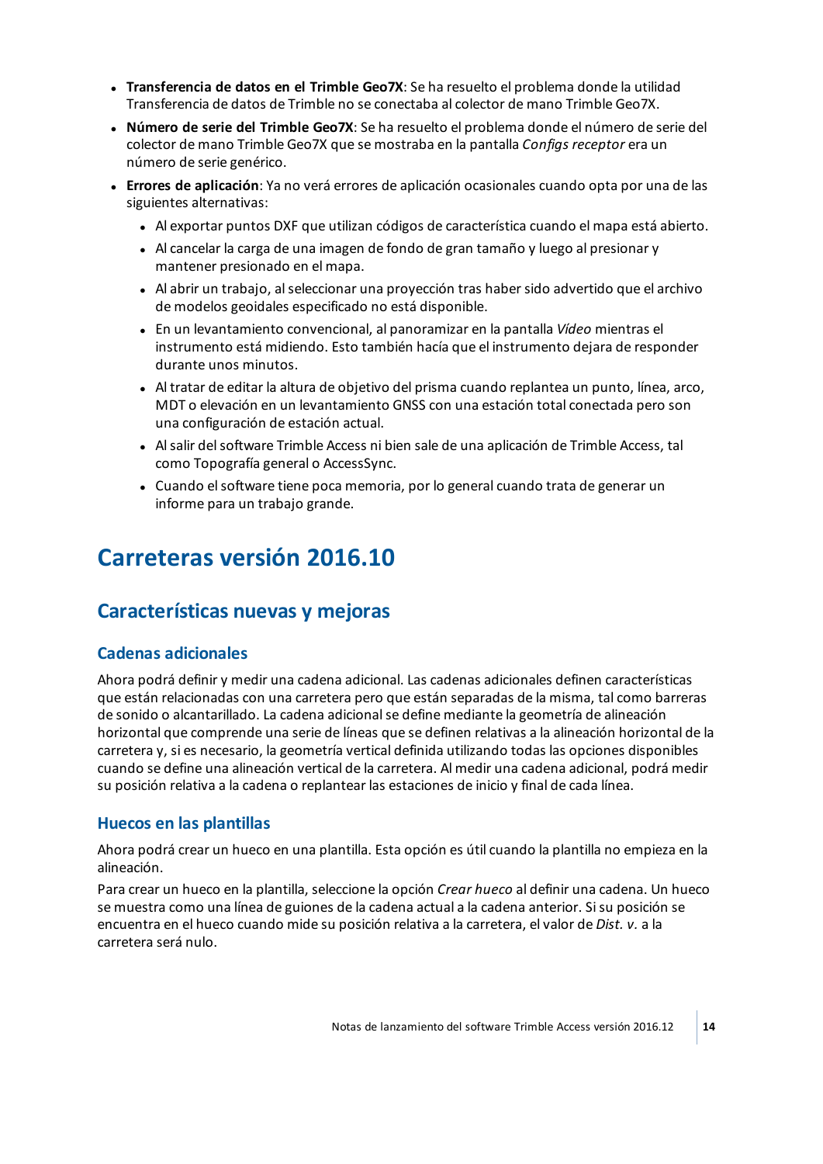- <sup>l</sup> **Transferencia de datos en el Trimble Geo7X**: Se ha resuelto el problema donde la utilidad Transferencia de datos de Trimble no se conectaba al colector de mano Trimble Geo7X.
- <sup>l</sup> **Número de serie del Trimble Geo7X**: Se ha resuelto el problema donde el número de serie del colector de mano Trimble Geo7X que se mostraba en la pantalla *Configs receptor* era un número de serie genérico.
- <sup>l</sup> **Errores de aplicación**: Ya no verá errores de aplicación ocasionales cuando opta por una de las siguientes alternativas:
	- . Al exportar puntos DXF que utilizan códigos de característica cuando el mapa está abierto.
	- Al cancelar la carga de una imagen de fondo de gran tamaño y luego al presionar y mantener presionado en el mapa.
	- Al abrir un trabajo, al seleccionar una proyección tras haber sido advertido que el archivo de modelos geoidales especificado no está disponible.
	- <sup>l</sup> En un levantamiento convencional, al panoramizar en la pantalla *Vídeo* mientras el instrumento está midiendo. Esto también hacía que el instrumento dejara de responder durante unos minutos.
	- . Al tratar de editar la altura de objetivo del prisma cuando replantea un punto, línea, arco, MDT o elevación en un levantamiento GNSS con una estación total conectada pero son una configuración de estación actual.
	- Al salir del software Trimble Access ni bien sale de una aplicación de Trimble Access, tal como Topografía general o AccessSync.
	- Cuando el software tiene poca memoria, por lo general cuando trata de generar un informe para un trabajo grande.

## <span id="page-13-0"></span>**Carreteras versión 2016.10**

## **Características nuevas y mejoras**

## **Cadenas adicionales**

Ahora podrá definir y medir una cadena adicional. Las cadenas adicionales definen características que están relacionadas con una carretera pero que están separadas de la misma, tal como barreras de sonido o alcantarillado. La cadena adicionalse define mediante la geometría de alineación horizontal que comprende una serie de líneas que se definen relativas a la alineación horizontal de la carretera y, si es necesario, la geometría vertical definida utilizando todas las opciones disponibles cuando se define una alineación vertical de la carretera. Al medir una cadena adicional, podrá medir su posición relativa a la cadena o replantear las estaciones de inicio y final de cada línea.

## **Huecos en las plantillas**

Ahora podrá crear un hueco en una plantilla. Esta opción es útil cuando la plantilla no empieza en la alineación.

Para crear un hueco en la plantilla, seleccione la opción *Crear hueco* al definir una cadena. Un hueco se muestra como una línea de guiones de la cadena actual a la cadena anterior. Sisu posición se encuentra en el hueco cuando mide su posición relativa a la carretera, el valor de *Dist. v.* a la carretera será nulo.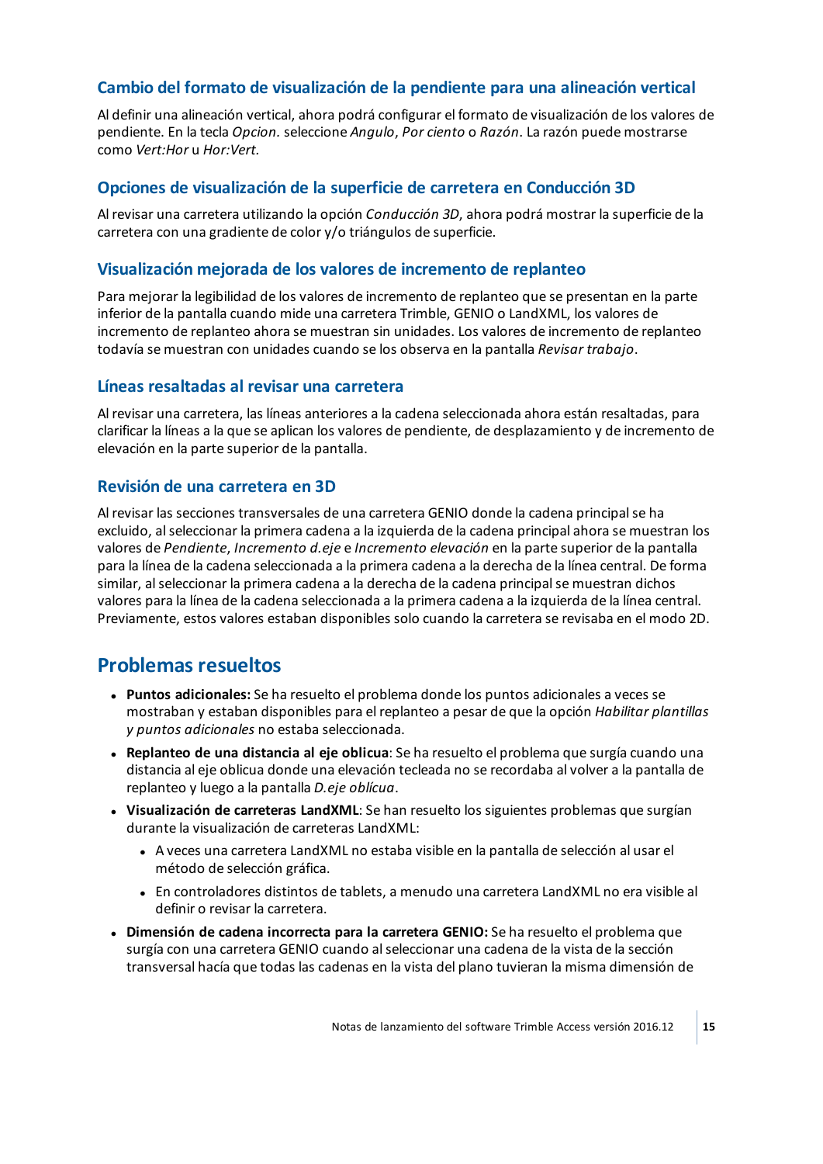## **Cambio del formato de visualización de la pendiente para una alineación vertical**

Al definir una alineación vertical, ahora podrá configurar el formato de visualización de los valores de pendiente. En la tecla *Opcion.* seleccione *Angulo*, *Por ciento* o *Razón*. La razón puede mostrarse como *Vert:Hor* u *Hor:Vert.*

#### **Opciones de visualización de la superficie de carretera en Conducción 3D**

Al revisar una carretera utilizando la opción *Conducción 3D*, ahora podrá mostrar la superficie de la carretera con una gradiente de color y/o triángulos de superficie.

#### **Visualización mejorada de los valores de incremento de replanteo**

Para mejorar la legibilidad de los valores de incremento de replanteo que se presentan en la parte inferior de la pantalla cuando mide una carretera Trimble, GENIO o LandXML, los valores de incremento de replanteo ahora se muestran sin unidades. Los valores de incremento de replanteo todavía se muestran con unidades cuando se los observa en la pantalla *Revisar trabajo*.

#### **Líneas resaltadas al revisar una carretera**

Al revisar una carretera, las líneas anteriores a la cadena seleccionada ahora están resaltadas, para clarificar la líneas a la que se aplican los valores de pendiente, de desplazamiento y de incremento de elevación en la parte superior de la pantalla.

#### **Revisión de una carretera en 3D**

Al revisar las secciones transversales de una carretera GENIO donde la cadena principalse ha excluido, alseleccionar la primera cadena a la izquierda de la cadena principal ahora se muestran los valores de *Pendiente*, *Incremento d.eje* e *Incremento elevación* en la parte superior de la pantalla para la línea de la cadena seleccionada a la primera cadena a la derecha de la línea central. De forma similar, alseleccionar la primera cadena a la derecha de la cadena principalse muestran dichos valores para la línea de la cadena seleccionada a la primera cadena a la izquierda de la línea central. Previamente, estos valores estaban disponibles solo cuando la carretera se revisaba en el modo 2D.

## **Problemas resueltos**

- <sup>l</sup> **Puntos adicionales:** Se ha resuelto el problema donde los puntos adicionales a veces se mostraban y estaban disponibles para el replanteo a pesar de que la opción *Habilitar plantillas y puntos adicionales* no estaba seleccionada.
- <sup>l</sup> **Replanteo de una distancia al eje oblicua**: Se ha resuelto el problema que surgía cuando una distancia al eje oblicua donde una elevación tecleada no se recordaba al volver a la pantalla de replanteo y luego a la pantalla *D.eje oblícua*.
- <sup>l</sup> **Visualización de carreteras LandXML**: Se han resuelto los siguientes problemas que surgían durante la visualización de carreteras LandXML:
	- <sup>l</sup> A veces una carretera LandXML no estaba visible en la pantalla de selección al usar el método de selección gráfica.
	- <sup>l</sup> En controladores distintos de tablets, a menudo una carretera LandXML no era visible al definir o revisar la carretera.
- <sup>l</sup> **Dimensión de cadena incorrecta para la carretera GENIO:** Se ha resuelto el problema que surgía con una carretera GENIO cuando alseleccionar una cadena de la vista de la sección transversal hacía que todas las cadenas en la vista del plano tuvieran la misma dimensión de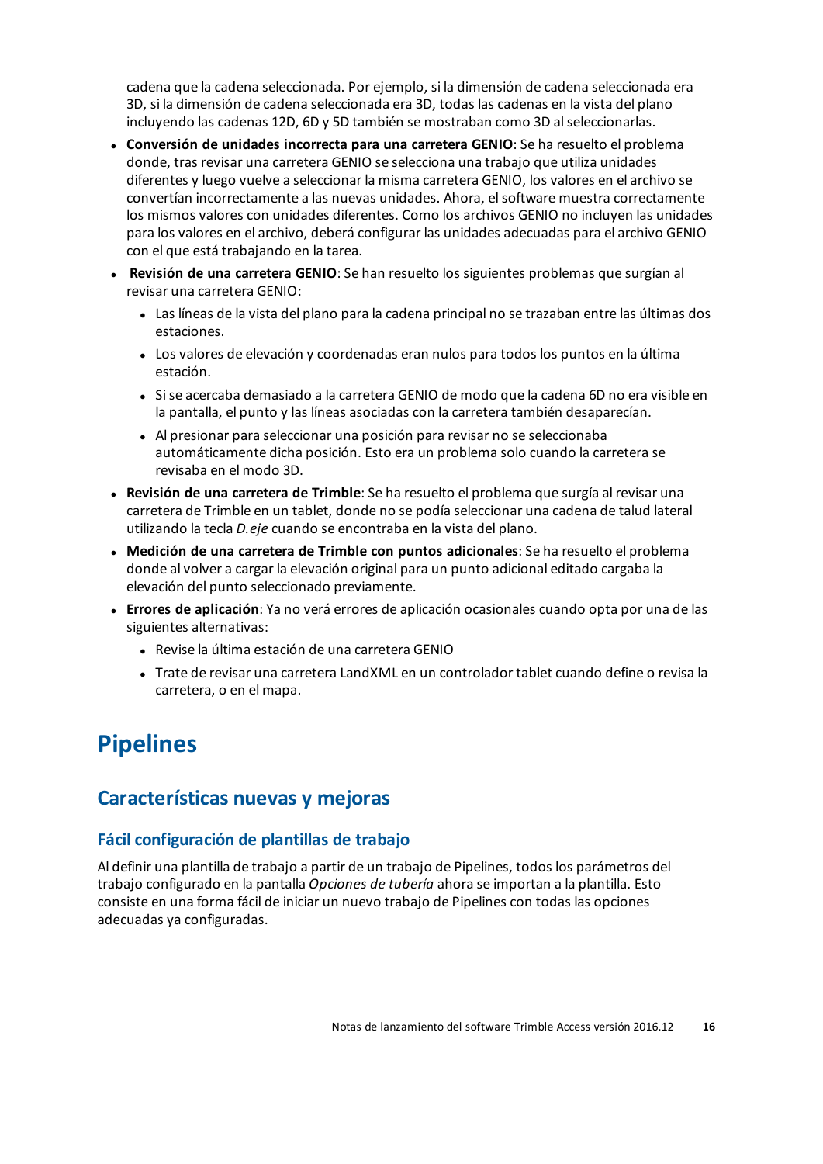cadena que la cadena seleccionada. Por ejemplo, si la dimensión de cadena seleccionada era 3D, si la dimensión de cadena seleccionada era 3D, todas las cadenas en la vista del plano incluyendo las cadenas 12D, 6D y 5D también se mostraban como 3D alseleccionarlas.

- <sup>l</sup> **Conversión de unidades incorrecta para una carretera GENIO**: Se ha resuelto el problema donde, tras revisar una carretera GENIO se selecciona una trabajo que utiliza unidades diferentes y luego vuelve a seleccionar la misma carretera GENIO, los valores en el archivo se convertían incorrectamente a las nuevas unidades. Ahora, elsoftware muestra correctamente los mismos valores con unidades diferentes. Como los archivos GENIO no incluyen las unidades para los valores en el archivo, deberá configurar las unidades adecuadas para el archivo GENIO con el que está trabajando en la tarea.
- <sup>l</sup> **Revisión de una carretera GENIO**: Se han resuelto los siguientes problemas que surgían al revisar una carretera GENIO:
	- Las líneas de la vista del plano para la cadena principal no se trazaban entre las últimas dos estaciones.
	- Los valores de elevación y coordenadas eran nulos para todos los puntos en la última estación.
	- Si se acercaba demasiado a la carretera GENIO de modo que la cadena 6D no era visible en la pantalla, el punto y las líneas asociadas con la carretera también desaparecían.
	- Al presionar para seleccionar una posición para revisar no se seleccionaba automáticamente dicha posición. Esto era un problema solo cuando la carretera se revisaba en el modo 3D.
- <sup>l</sup> **Revisión de una carretera de Trimble**: Se ha resuelto el problema que surgía al revisar una carretera de Trimble en un tablet, donde no se podía seleccionar una cadena de talud lateral utilizando la tecla *D.eje* cuando se encontraba en la vista del plano.
- <sup>l</sup> **Medición de una carretera de Trimble con puntos adicionales**: Se ha resuelto el problema donde al volver a cargar la elevación original para un punto adicional editado cargaba la elevación del punto seleccionado previamente.
- <sup>l</sup> **Errores de aplicación**: Ya no verá errores de aplicación ocasionales cuando opta por una de las siguientes alternativas:
	- Revise la última estación de una carretera GENIO
	- <sup>l</sup> Trate de revisar una carretera LandXML en un controlador tablet cuando define o revisa la carretera, o en el mapa.

## <span id="page-15-0"></span>**Pipelines**

## **Características nuevas y mejoras**

#### **Fácil configuración de plantillas de trabajo**

Al definir una plantilla de trabajo a partir de un trabajo de Pipelines, todos los parámetros del trabajo configurado en la pantalla *Opciones de tubería* ahora se importan a la plantilla. Esto consiste en una forma fácil de iniciar un nuevo trabajo de Pipelines con todas las opciones adecuadas ya configuradas.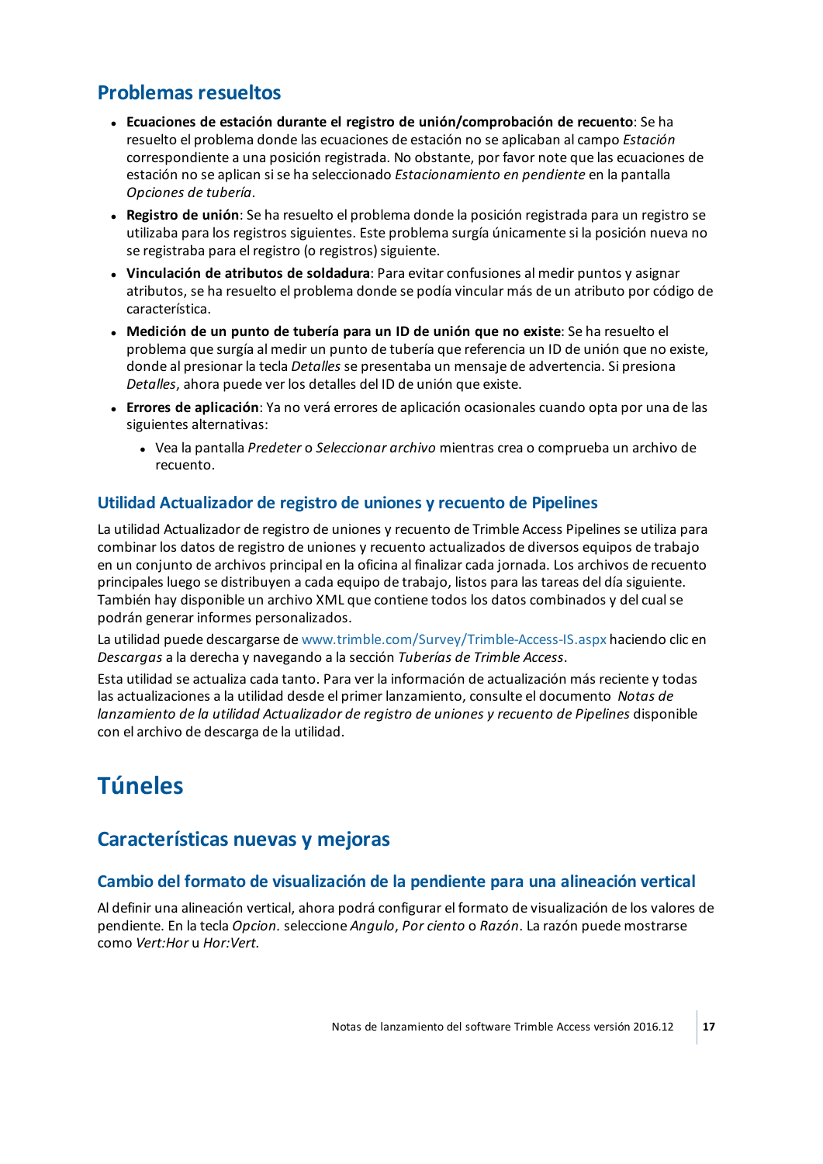## **Problemas resueltos**

- <sup>l</sup> **Ecuaciones de estación durante el registro de unión/comprobación de recuento**: Se ha resuelto el problema donde las ecuaciones de estación no se aplicaban al campo *Estación* correspondiente a una posición registrada. No obstante, por favor note que las ecuaciones de estación no se aplican sise ha seleccionado *Estacionamiento en pendiente* en la pantalla *Opciones de tubería*.
- <sup>l</sup> **Registro de unión**: Se ha resuelto el problema donde la posición registrada para un registro se utilizaba para los registros siguientes. Este problema surgía únicamente si la posición nueva no se registraba para el registro (o registros) siguiente.
- <sup>l</sup> **Vinculación de atributos de soldadura**: Para evitar confusiones al medir puntos y asignar atributos, se ha resuelto el problema donde se podía vincular más de un atributo por código de característica.
- <sup>l</sup> **Medición de un punto de tubería para un ID de unión que no existe**: Se ha resuelto el problema que surgía al medir un punto de tubería que referencia un ID de unión que no existe, donde al presionar la tecla *Detalles* se presentaba un mensaje de advertencia. Si presiona *Detalles*, ahora puede ver los detalles del ID de unión que existe.
- <sup>l</sup> **Errores de aplicación**: Ya no verá errores de aplicación ocasionales cuando opta por una de las siguientes alternativas:
	- <sup>l</sup> Vea la pantalla *Predeter* o *Seleccionar archivo* mientras crea o comprueba un archivo de recuento.

## **Utilidad Actualizador de registro de uniones y recuento de Pipelines**

La utilidad Actualizador de registro de uniones y recuento de Trimble Access Pipelines se utiliza para combinar los datos de registro de uniones y recuento actualizados de diversos equipos de trabajo en un conjunto de archivos principal en la oficina al finalizar cada jornada. Los archivos de recuento principales luego se distribuyen a cada equipo de trabajo, listos para las tareas del día siguiente. También hay disponible un archivo XML que contiene todos los datos combinados y del cualse podrán generar informes personalizados.

La utilidad puede descargarse de [www.trimble.com/Survey/Trimble-Access-IS.aspx](http://www.trimble.com/Survey/Trimble-Access-IS.aspx) haciendo clic en *Descargas* a la derecha y navegando a la sección *Tuberías de Trimble Access*.

Esta utilidad se actualiza cada tanto. Para ver la información de actualización más reciente y todas las actualizaciones a la utilidad desde el primer lanzamiento, consulte el documento *Notas de lanzamiento de la utilidad Actualizador de registro de uniones y recuento de Pipelines* disponible con el archivo de descarga de la utilidad.

## <span id="page-16-0"></span>**Túneles**

## **Características nuevas y mejoras**

## **Cambio del formato de visualización de la pendiente para una alineación vertical**

Al definir una alineación vertical, ahora podrá configurar el formato de visualización de los valores de pendiente. En la tecla *Opcion.* seleccione *Angulo*, *Por ciento* o *Razón*. La razón puede mostrarse como *Vert:Hor* u *Hor:Vert.*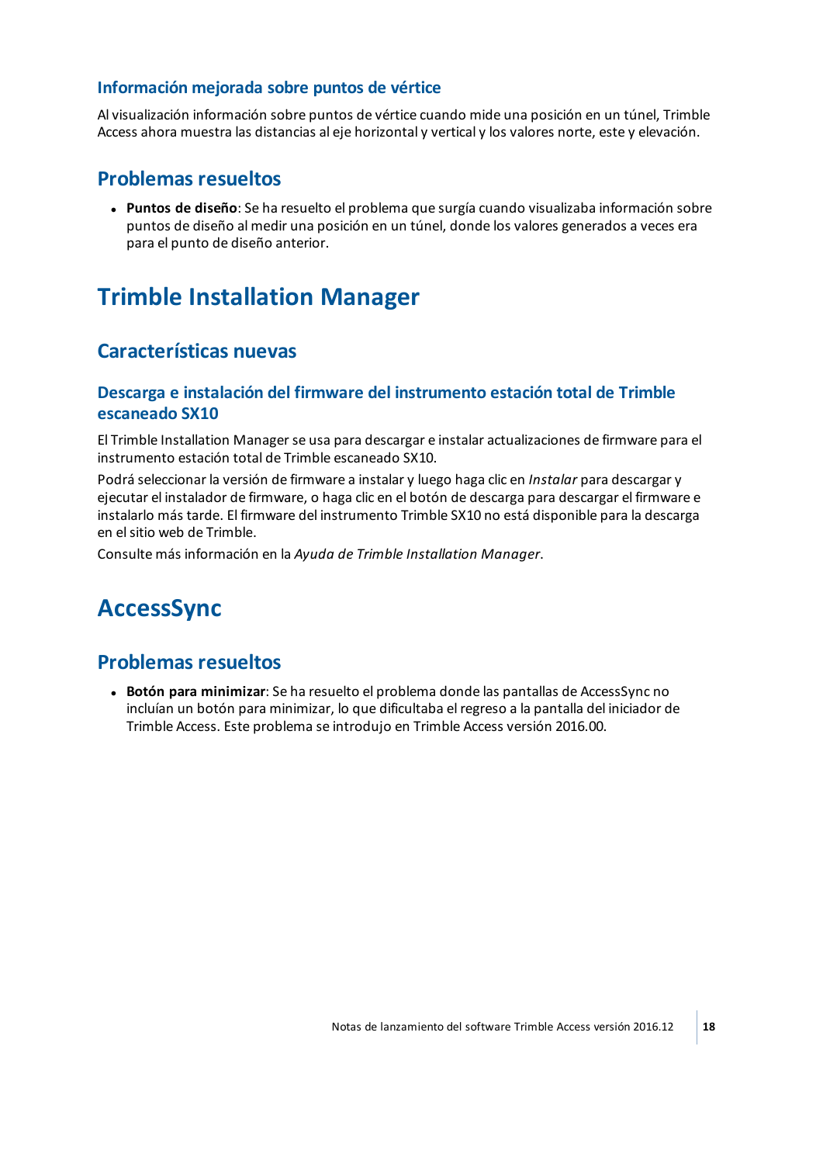#### **Información mejorada sobre puntos de vértice**

Al visualización información sobre puntos de vértice cuando mide una posición en un túnel, Trimble Access ahora muestra las distancias al eje horizontal y vertical y los valores norte, este y elevación.

## **Problemas resueltos**

<sup>l</sup> **Puntos de diseño**: Se ha resuelto el problema que surgía cuando visualizaba información sobre puntos de diseño al medir una posición en un túnel, donde los valores generados a veces era para el punto de diseño anterior.

## <span id="page-17-0"></span>**Trimble Installation Manager**

## **Características nuevas**

### **Descarga e instalación del firmware del instrumento estación total de Trimble escaneado SX10**

El Trimble Installation Manager se usa para descargar e instalar actualizaciones de firmware para el instrumento estación total de Trimble escaneado SX10.

Podrá seleccionar la versión de firmware a instalar y luego haga clic en *Instalar* para descargar y ejecutar el instalador de firmware, o haga clic en el botón de descarga para descargar el firmware e instalarlo más tarde. El firmware del instrumento Trimble SX10 no está disponible para la descarga en elsitio web de Trimble.

<span id="page-17-1"></span>Consulte más información en la *Ayuda de Trimble Installation Manager*.

## **AccessSync**

## **Problemas resueltos**

<sup>l</sup> **Botón para minimizar**: Se ha resuelto el problema donde las pantallas de AccessSync no incluían un botón para minimizar, lo que dificultaba el regreso a la pantalla del iniciador de Trimble Access. Este problema se introdujo en Trimble Access versión 2016.00.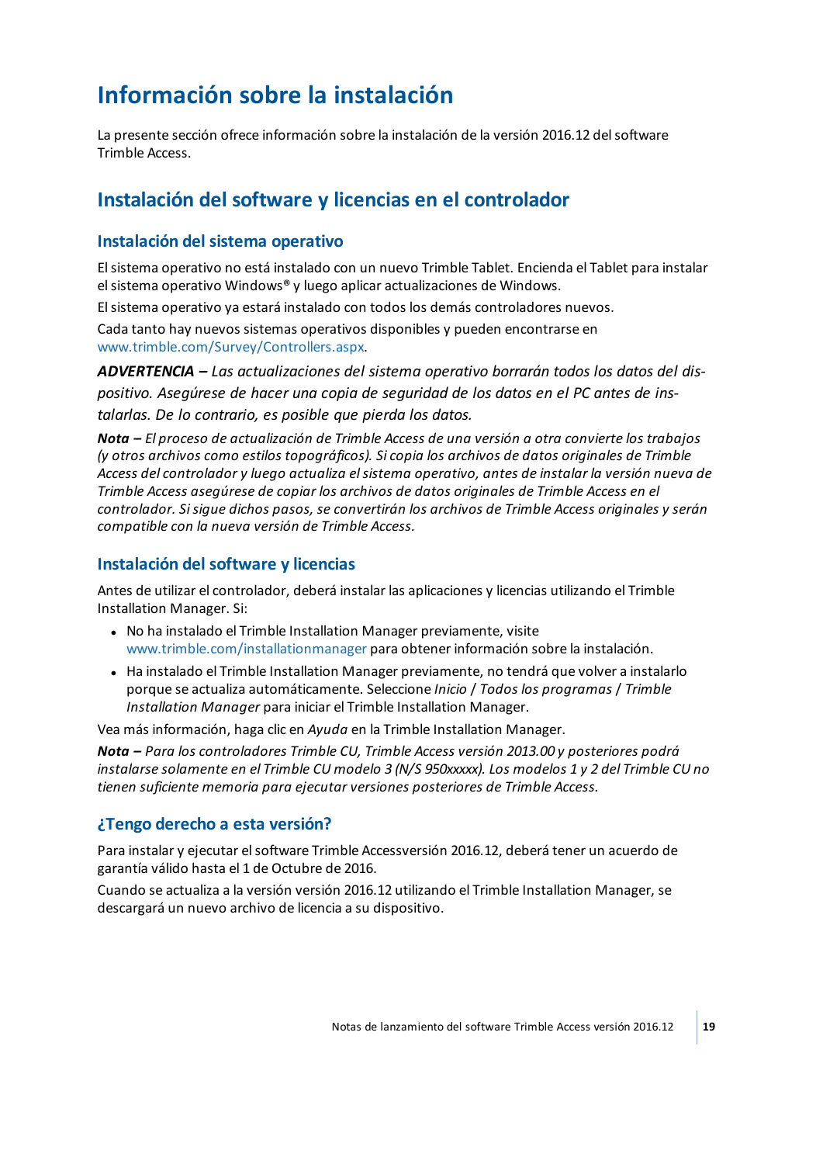## <span id="page-18-0"></span>**Información sobre la instalación**

La presente sección ofrece información sobre la instalación de la versión 2016.12 delsoftware Trimble Access.

## **Instalación del software y licencias en el controlador**

### **Instalación del sistema operativo**

Elsistema operativo no está instalado con un nuevo Trimble Tablet. Encienda el Tablet para instalar elsistema operativo Windows® y luego aplicar actualizaciones de Windows.

Elsistema operativo ya estará instalado con todos los demás controladores nuevos.

Cada tanto hay nuevos sistemas operativos disponibles y pueden encontrarse en [www.trimble.com/Survey/Controllers.aspx](http://www.trimble.com/Survey/Controllers.aspx).

*ADVERTENCIA – Las actualizaciones del sistema operativo borrarán todos los datos del dispositivo. Asegúrese de hacer una copia de seguridad de los datos en el PC antes de instalarlas. De lo contrario, es posible que pierda los datos.*

*Nota – El proceso de actualización de Trimble Access de una versión a otra convierte los trabajos (y otros archivos como estilos topográficos). Si copia los archivos de datos originales de Trimble Access del controlador y luego actualiza elsistema operativo, antes de instalar la versión nueva de Trimble Access asegúrese de copiar los archivos de datos originales de Trimble Access en el controlador. Sisigue dichos pasos, se convertirán los archivos de Trimble Access originales y serán compatible con la nueva versión de Trimble Access.*

### **Instalación del software y licencias**

Antes de utilizar el controlador, deberá instalar las aplicaciones y licencias utilizando el Trimble Installation Manager. Si:

- No ha instalado el Trimble Installation Manager previamente, visite [www.trimble.com/installationmanager](http://www.trimble.com/installationmanager) para obtener información sobre la instalación.
- Ha instalado el Trimble Installation Manager previamente, no tendrá que volver a instalarlo porque se actualiza automáticamente. Seleccione *Inicio* / *Todos los programas* / *Trimble Installation Manager* para iniciar el Trimble Installation Manager.

Vea más información, haga clic en *Ayuda* en la Trimble Installation Manager.

*Nota – Para los controladores Trimble CU, Trimble Access versión 2013.00 y posteriores podrá* instalarse solamente en el Trimble CU modelo 3 (N/S 950xxxxx). Los modelos 1 y 2 del Trimble CU no *tienen suficiente memoria para ejecutar versiones posteriores de Trimble Access.*

## **¿Tengo derecho a esta versión?**

Para instalar y ejecutar elsoftware Trimble Accessversión 2016.12, deberá tener un acuerdo de garantía válido hasta el 1 de Octubre de 2016.

Cuando se actualiza a la versión versión 2016.12 utilizando el Trimble Installation Manager, se descargará un nuevo archivo de licencia a su dispositivo.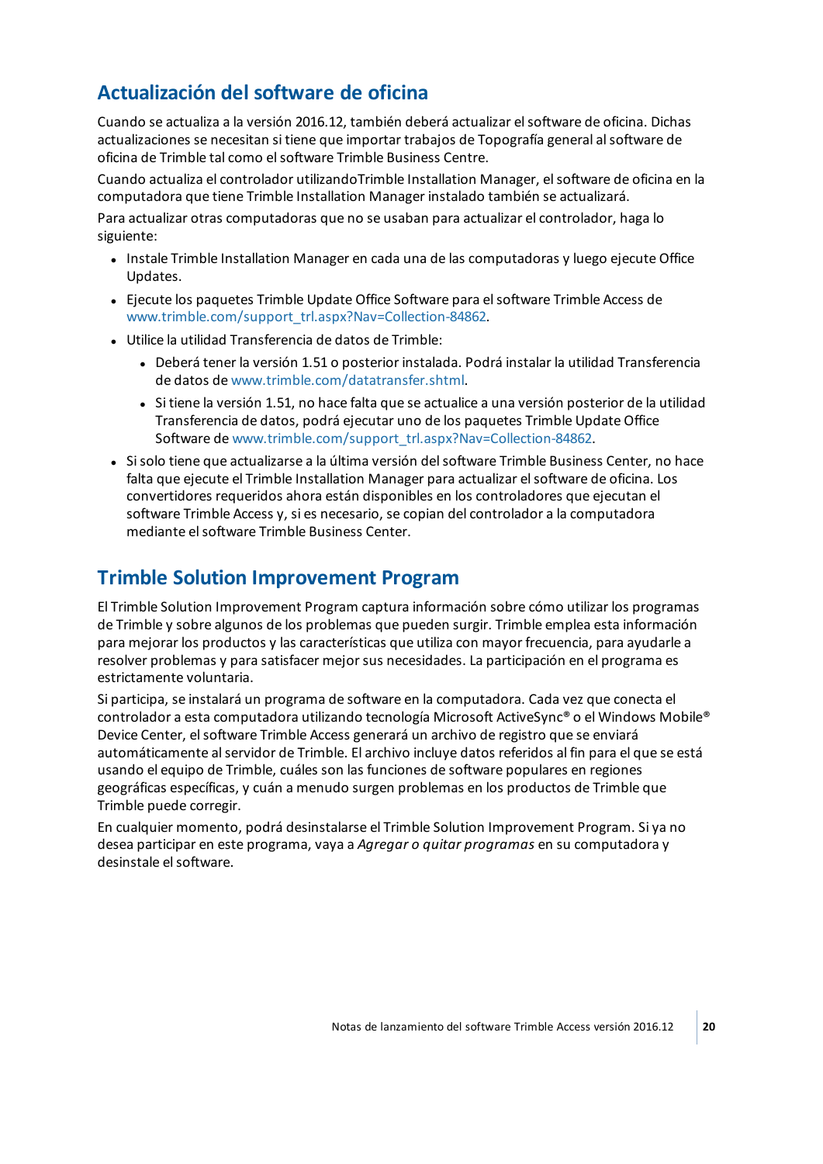## **Actualización del software de oficina**

Cuando se actualiza a la versión 2016.12, también deberá actualizar elsoftware de oficina. Dichas actualizaciones se necesitan si tiene que importar trabajos de Topografía general alsoftware de oficina de Trimble tal como elsoftware Trimble Business Centre.

Cuando actualiza el controlador utilizandoTrimble Installation Manager, elsoftware de oficina en la computadora que tiene Trimble Installation Manager instalado también se actualizará.

Para actualizar otras computadoras que no se usaban para actualizar el controlador, haga lo siguiente:

- Instale Trimble Installation Manager en cada una de las computadoras y luego ejecute Office Updates.
- <sup>l</sup> Ejecute los paquetes Trimble Update Office Software para elsoftware Trimble Access de [www.trimble.com/support\\_trl.aspx?Nav=Collection-84862.](http://www.trimble.com/support_trl.aspx?Nav=Collection-84862)
- <sup>l</sup> Utilice la utilidad Transferencia de datos de Trimble:
	- <sup>l</sup> Deberá tener la versión 1.51 o posterior instalada. Podrá instalar la utilidad Transferencia de datos de [www.trimble.com/datatransfer.shtml](http://www.trimble.com/datatransfer.shtml).
	- Si tiene la versión 1.51, no hace falta que se actualice a una versión posterior de la utilidad Transferencia de datos, podrá ejecutar uno de los paquetes Trimble Update Office Software de [www.trimble.com/support\\_trl.aspx?Nav=Collection-84862](http://www.trimble.com/support_trl.aspx?Nav=Collection-84862).
- Si solo tiene que actualizarse a la última versión del software Trimble Business Center, no hace falta que ejecute el Trimble Installation Manager para actualizar elsoftware de oficina. Los convertidores requeridos ahora están disponibles en los controladores que ejecutan el software Trimble Access y, si es necesario, se copian del controlador a la computadora mediante elsoftware Trimble Business Center.

## **Trimble Solution Improvement Program**

El Trimble Solution Improvement Program captura información sobre cómo utilizar los programas de Trimble y sobre algunos de los problemas que pueden surgir. Trimble emplea esta información para mejorar los productos y las características que utiliza con mayor frecuencia, para ayudarle a resolver problemas y para satisfacer mejor sus necesidades. La participación en el programa es estrictamente voluntaria.

Si participa, se instalará un programa de software en la computadora. Cada vez que conecta el controlador a esta computadora utilizando tecnología Microsoft ActiveSync® o el Windows Mobile® Device Center, el software Trimble Access generará un archivo de registro que se enviará automáticamente alservidor de Trimble. El archivo incluye datos referidos al fin para el que se está usando el equipo de Trimble, cuáles son las funciones de software populares en regiones geográficas específicas, y cuán a menudo surgen problemas en los productos de Trimble que Trimble puede corregir.

En cualquier momento, podrá desinstalarse el Trimble Solution Improvement Program. Si ya no desea participar en este programa, vaya a *Agregar o quitar programas* en su computadora y desinstale elsoftware.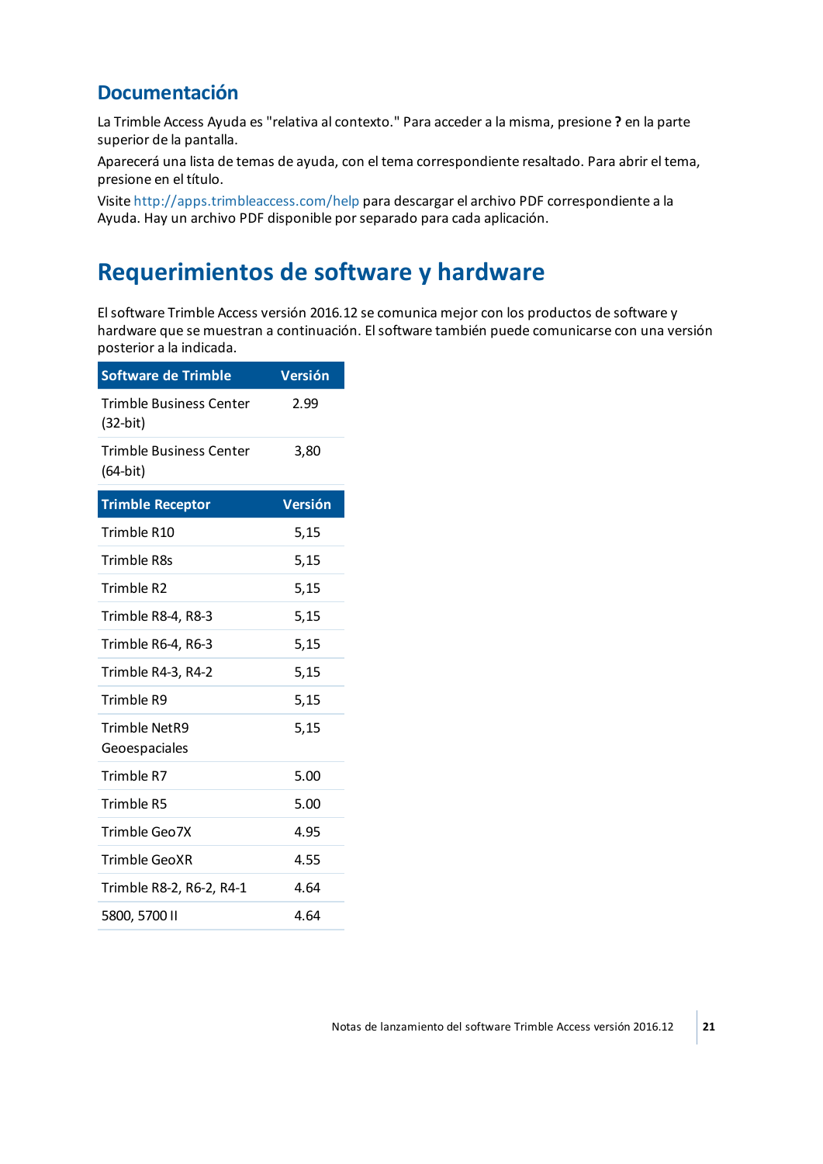## **Documentación**

La Trimble Access Ayuda es "relativa al contexto." Para acceder a la misma, presione **?** en la parte superior de la pantalla.

Aparecerá una lista de temas de ayuda, con el tema correspondiente resaltado. Para abrir el tema, presione en el título.

<span id="page-20-0"></span>Visite <http://apps.trimbleaccess.com/help> para descargar el archivo PDF correspondiente a la Ayuda. Hay un archivo PDF disponible por separado para cada aplicación.

## **Requerimientos de software y hardware**

Elsoftware Trimble Access versión 2016.12 se comunica mejor con los productos de software y hardware que se muestran a continuación. Elsoftware también puede comunicarse con una versión posterior a la indicada.

| <b>Software de Trimble</b>                   | <b>Versión</b> |
|----------------------------------------------|----------------|
| <b>Trimble Business Center</b><br>$(32-bit)$ | 2.99           |
| <b>Trimble Business Center</b><br>(64-bit)   | 3,80           |
| <b>Trimble Receptor</b>                      | Versión        |
| Trimble R10                                  | 5,15           |
| Trimble R8s                                  | 5,15           |
| Trimble R2                                   | 5,15           |
| Trimble R8-4, R8-3                           | 5,15           |
| Trimble R6-4, R6-3                           | 5,15           |
| Trimble R4-3, R4-2                           | 5,15           |
| Trimble R9                                   | 5,15           |
| <b>Trimble NetR9</b><br>Geoespaciales        | 5,15           |
| Trimble R7                                   | 5.00           |
| Trimble R5                                   | 5.00           |
| Trimble Geo7X                                | 4.95           |
| Trimble GeoXR                                | 4.55           |
| Trimble R8-2, R6-2, R4-1                     | 4.64           |
| 5800, 5700 II                                | 4.64           |